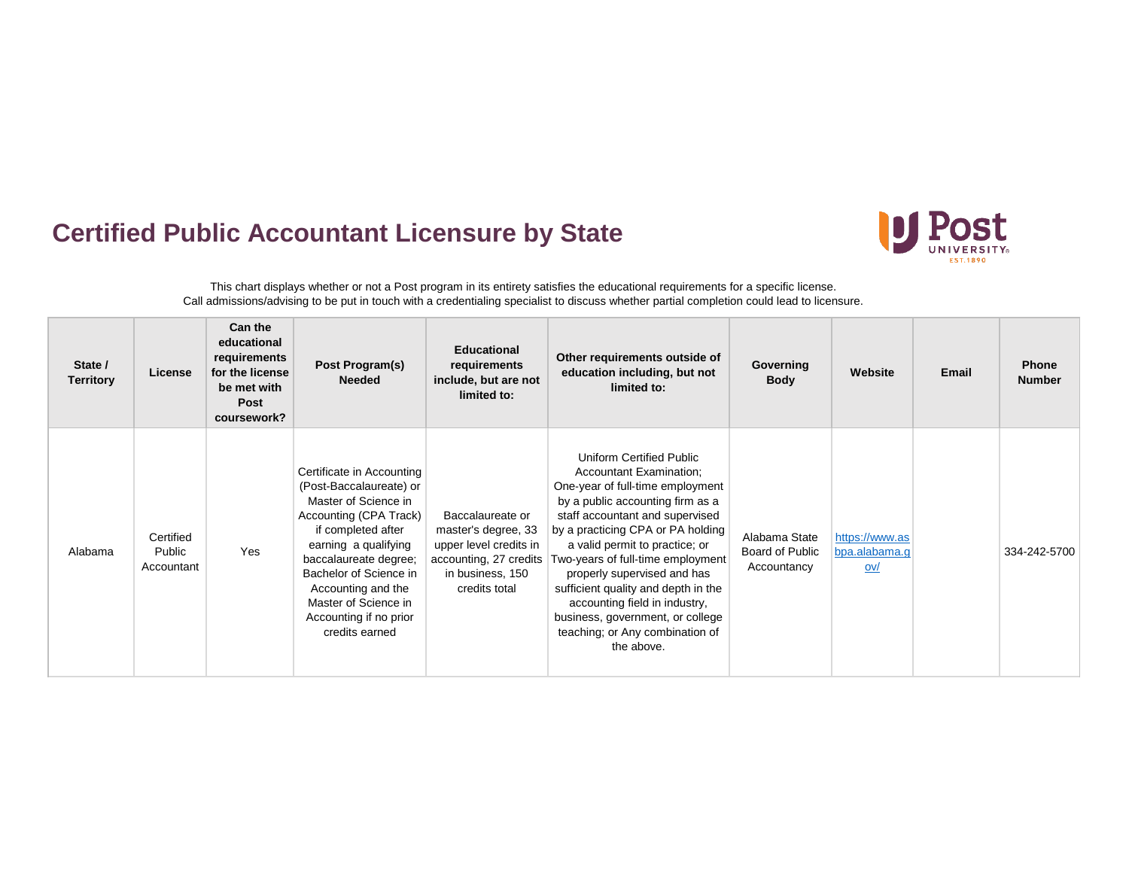## **Certified Public Accountant Licensure by State**



This chart displays whether or not a Post program in its entirety satisfies the educational requirements for a specific license. Call admissions/advising to be put in touch with a credentialing specialist to discuss whether partial completion could lead to licensure.

| State /<br><b>Territory</b> | License                           | Can the<br>educational<br>requirements<br>for the license<br>be met with<br>Post<br>coursework? | Post Program(s)<br><b>Needed</b>                                                                                                                                                                                                                                                                  | <b>Educational</b><br>requirements<br>include, but are not<br>limited to:                                                        | Other requirements outside of<br>education including, but not<br>limited to:                                                                                                                                                                                                                                                                                                                                                                                           | Governing<br><b>Body</b>                        | Website                                | <b>Email</b> | <b>Phone</b><br><b>Number</b> |
|-----------------------------|-----------------------------------|-------------------------------------------------------------------------------------------------|---------------------------------------------------------------------------------------------------------------------------------------------------------------------------------------------------------------------------------------------------------------------------------------------------|----------------------------------------------------------------------------------------------------------------------------------|------------------------------------------------------------------------------------------------------------------------------------------------------------------------------------------------------------------------------------------------------------------------------------------------------------------------------------------------------------------------------------------------------------------------------------------------------------------------|-------------------------------------------------|----------------------------------------|--------------|-------------------------------|
| Alabama                     | Certified<br>Public<br>Accountant | Yes                                                                                             | Certificate in Accounting<br>(Post-Baccalaureate) or<br>Master of Science in<br>Accounting (CPA Track)<br>if completed after<br>earning a qualifying<br>baccalaureate degree;<br>Bachelor of Science in<br>Accounting and the<br>Master of Science in<br>Accounting if no prior<br>credits earned | Baccalaureate or<br>master's degree, 33<br>upper level credits in<br>accounting, 27 credits<br>in business, 150<br>credits total | Uniform Certified Public<br>Accountant Examination;<br>One-year of full-time employment<br>by a public accounting firm as a<br>staff accountant and supervised<br>by a practicing CPA or PA holding<br>a valid permit to practice; or<br>Two-years of full-time employment<br>properly supervised and has<br>sufficient quality and depth in the<br>accounting field in industry,<br>business, government, or college<br>teaching; or Any combination of<br>the above. | Alabama State<br>Board of Public<br>Accountancy | https://www.as<br>bpa.alabama.g<br>ov/ |              | 334-242-5700                  |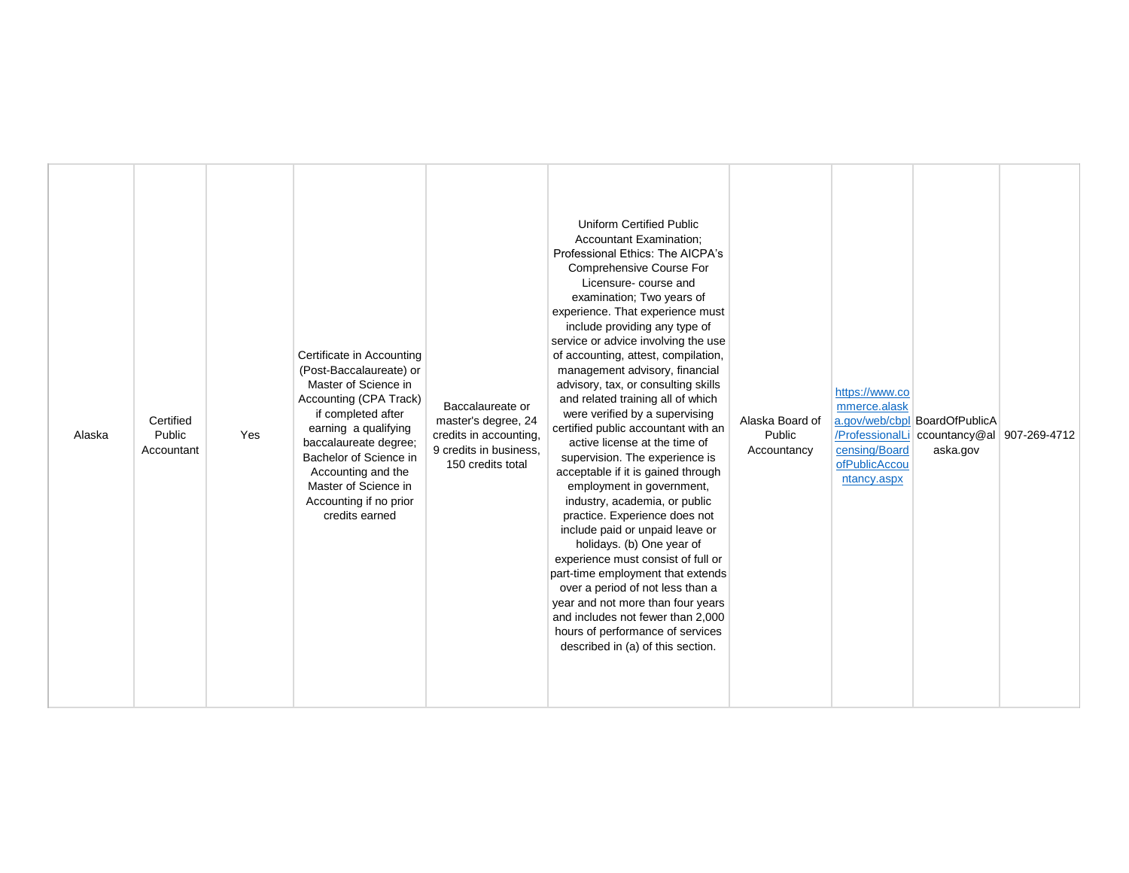| <b>Uniform Certified Public</b><br><b>Accountant Examination:</b><br>Professional Ethics: The AICPA's<br>Comprehensive Course For<br>Licensure-course and<br>examination; Two years of<br>experience. That experience must<br>include providing any type of<br>service or advice involving the use<br>Certificate in Accounting<br>of accounting, attest, compilation,<br>(Post-Baccalaureate) or<br>management advisory, financial<br>Master of Science in<br>advisory, tax, or consulting skills<br>https://www.co<br>Accounting (CPA Track)<br>and related training all of which<br>mmerce.alask<br>Baccalaureate or<br>were verified by a supervising<br>if completed after<br>a.gov/web/cbpl BoardOfPublicA<br>Certified<br>master's degree, 24<br>Alaska Board of<br>certified public accountant with an<br>earning a qualifying<br>Public<br>/ProfessionalLi ccountancy@al<br>Yes<br>credits in accounting,<br>Public<br>Alaska<br>baccalaureate degree;<br>active license at the time of<br>censing/Board<br>9 credits in business,<br>aska.gov<br>Accountant<br>Accountancy<br>Bachelor of Science in<br>supervision. The experience is<br>ofPublicAccou<br>150 credits total<br>Accounting and the<br>acceptable if it is gained through<br>ntancy.aspx<br>Master of Science in<br>employment in government,<br>Accounting if no prior<br>industry, academia, or public<br>credits earned<br>practice. Experience does not<br>include paid or unpaid leave or<br>holidays. (b) One year of<br>experience must consist of full or<br>part-time employment that extends<br>over a period of not less than a<br>year and not more than four years<br>and includes not fewer than 2,000<br>hours of performance of services<br>described in (a) of this section. |  | 907-269-4712 |  |
|------------------------------------------------------------------------------------------------------------------------------------------------------------------------------------------------------------------------------------------------------------------------------------------------------------------------------------------------------------------------------------------------------------------------------------------------------------------------------------------------------------------------------------------------------------------------------------------------------------------------------------------------------------------------------------------------------------------------------------------------------------------------------------------------------------------------------------------------------------------------------------------------------------------------------------------------------------------------------------------------------------------------------------------------------------------------------------------------------------------------------------------------------------------------------------------------------------------------------------------------------------------------------------------------------------------------------------------------------------------------------------------------------------------------------------------------------------------------------------------------------------------------------------------------------------------------------------------------------------------------------------------------------------------------------------------------------------------------------------------------------------------------|--|--------------|--|
|------------------------------------------------------------------------------------------------------------------------------------------------------------------------------------------------------------------------------------------------------------------------------------------------------------------------------------------------------------------------------------------------------------------------------------------------------------------------------------------------------------------------------------------------------------------------------------------------------------------------------------------------------------------------------------------------------------------------------------------------------------------------------------------------------------------------------------------------------------------------------------------------------------------------------------------------------------------------------------------------------------------------------------------------------------------------------------------------------------------------------------------------------------------------------------------------------------------------------------------------------------------------------------------------------------------------------------------------------------------------------------------------------------------------------------------------------------------------------------------------------------------------------------------------------------------------------------------------------------------------------------------------------------------------------------------------------------------------------------------------------------------------|--|--------------|--|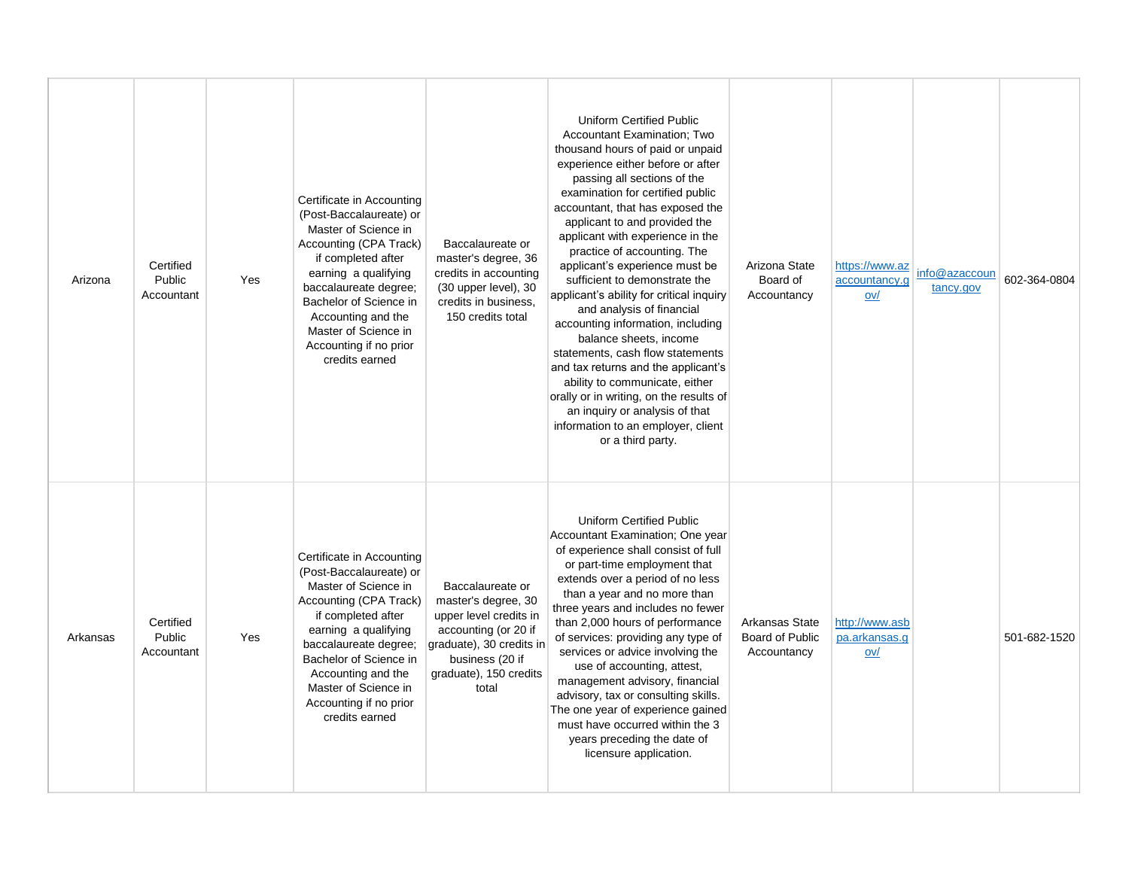| Arizona  | Certified<br>Public<br>Accountant | Yes | Certificate in Accounting<br>(Post-Baccalaureate) or<br>Master of Science in<br><b>Accounting (CPA Track)</b><br>if completed after<br>earning a qualifying<br>baccalaureate degree;<br>Bachelor of Science in<br>Accounting and the<br>Master of Science in<br>Accounting if no prior<br>credits earned | Baccalaureate or<br>master's degree, 36<br>credits in accounting<br>(30 upper level), 30<br>credits in business.<br>150 credits total                                       | Uniform Certified Public<br>Accountant Examination; Two<br>thousand hours of paid or unpaid<br>experience either before or after<br>passing all sections of the<br>examination for certified public<br>accountant, that has exposed the<br>applicant to and provided the<br>applicant with experience in the<br>practice of accounting. The<br>applicant's experience must be<br>sufficient to demonstrate the<br>applicant's ability for critical inquiry<br>and analysis of financial<br>accounting information, including<br>balance sheets, income<br>statements, cash flow statements<br>and tax returns and the applicant's<br>ability to communicate, either<br>orally or in writing, on the results of<br>an inquiry or analysis of that<br>information to an employer, client<br>or a third party. | Arizona State<br>Board of<br>Accountancy         | https://www.az<br>accountancy.g<br>$ov/$ | info@azaccoun<br>tancy.gov | 602-364-0804 |
|----------|-----------------------------------|-----|----------------------------------------------------------------------------------------------------------------------------------------------------------------------------------------------------------------------------------------------------------------------------------------------------------|-----------------------------------------------------------------------------------------------------------------------------------------------------------------------------|-------------------------------------------------------------------------------------------------------------------------------------------------------------------------------------------------------------------------------------------------------------------------------------------------------------------------------------------------------------------------------------------------------------------------------------------------------------------------------------------------------------------------------------------------------------------------------------------------------------------------------------------------------------------------------------------------------------------------------------------------------------------------------------------------------------|--------------------------------------------------|------------------------------------------|----------------------------|--------------|
| Arkansas | Certified<br>Public<br>Accountant | Yes | Certificate in Accounting<br>(Post-Baccalaureate) or<br>Master of Science in<br>Accounting (CPA Track)<br>if completed after<br>earning a qualifying<br>baccalaureate degree;<br>Bachelor of Science in<br>Accounting and the<br>Master of Science in<br>Accounting if no prior<br>credits earned        | Baccalaureate or<br>master's degree, 30<br>upper level credits in<br>accounting (or 20 if<br>graduate), 30 credits in<br>business (20 if<br>graduate), 150 credits<br>total | <b>Uniform Certified Public</b><br>Accountant Examination; One year<br>of experience shall consist of full<br>or part-time employment that<br>extends over a period of no less<br>than a year and no more than<br>three years and includes no fewer<br>than 2,000 hours of performance<br>of services: providing any type of<br>services or advice involving the<br>use of accounting, attest,<br>management advisory, financial<br>advisory, tax or consulting skills.<br>The one year of experience gained<br>must have occurred within the 3<br>years preceding the date of<br>licensure application.                                                                                                                                                                                                    | Arkansas State<br>Board of Public<br>Accountancy | http://www.asb<br>pa.arkansas.g<br>ov/   |                            | 501-682-1520 |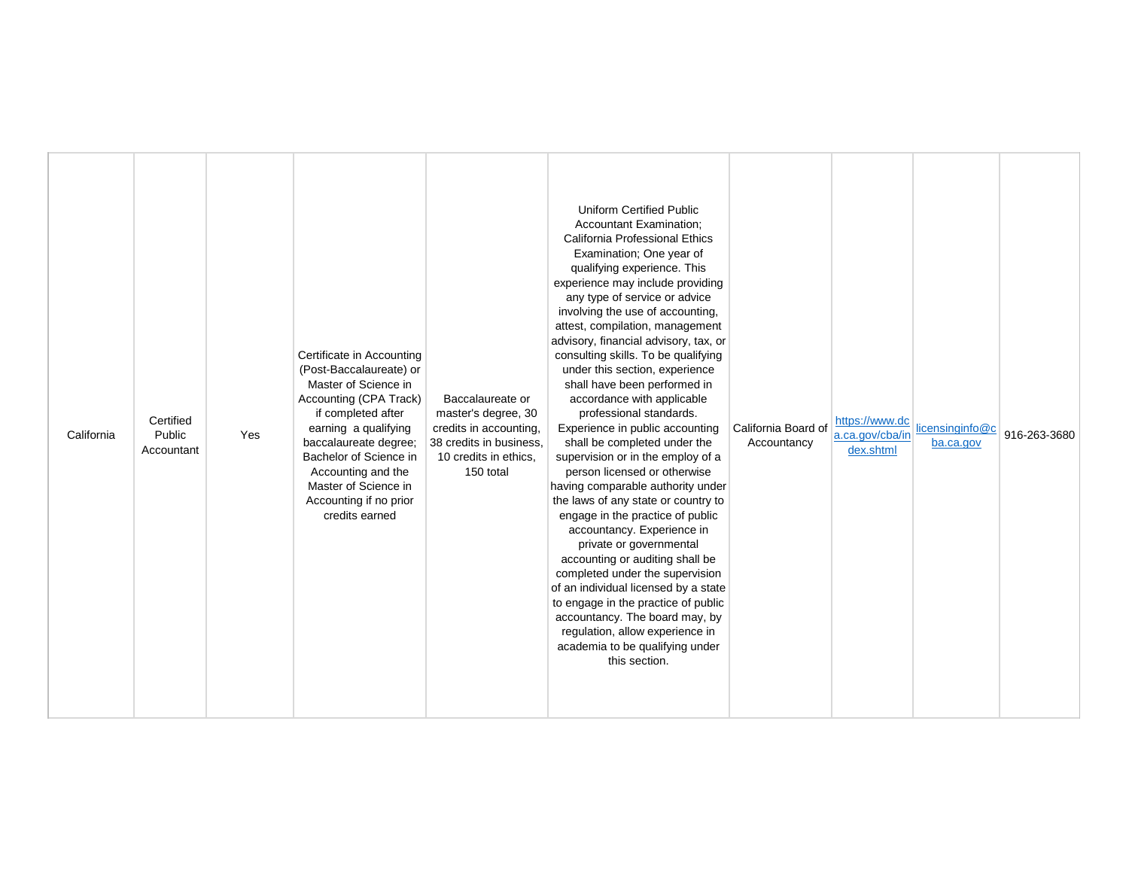| California | Certified<br>Public<br>Accountant | Yes | Certificate in Accounting<br>(Post-Baccalaureate) or<br>Master of Science in<br>Accounting (CPA Track)<br>if completed after<br>earning a qualifying<br>baccalaureate degree;<br>Bachelor of Science in<br>Accounting and the<br>Master of Science in<br>Accounting if no prior<br>credits earned | Baccalaureate or<br>master's degree, 30<br>credits in accounting,<br>38 credits in business.<br>10 credits in ethics.<br>150 total | <b>Uniform Certified Public</b><br><b>Accountant Examination:</b><br>California Professional Ethics<br>Examination; One year of<br>qualifying experience. This<br>experience may include providing<br>any type of service or advice<br>involving the use of accounting,<br>attest, compilation, management<br>advisory, financial advisory, tax, or<br>consulting skills. To be qualifying<br>under this section, experience<br>shall have been performed in<br>accordance with applicable<br>professional standards.<br>Experience in public accounting<br>shall be completed under the<br>supervision or in the employ of a<br>person licensed or otherwise<br>having comparable authority under<br>the laws of any state or country to<br>engage in the practice of public<br>accountancy. Experience in<br>private or governmental<br>accounting or auditing shall be<br>completed under the supervision<br>of an individual licensed by a state<br>to engage in the practice of public<br>accountancy. The board may, by<br>regulation, allow experience in<br>academia to be qualifying under<br>this section. | California Board of<br>Accountancy | https://www.dc<br>a.ca.gov/cba/in<br>dex.shtml | licensinginfo@c<br>ba.ca.gov | 916-263-3680 |
|------------|-----------------------------------|-----|---------------------------------------------------------------------------------------------------------------------------------------------------------------------------------------------------------------------------------------------------------------------------------------------------|------------------------------------------------------------------------------------------------------------------------------------|----------------------------------------------------------------------------------------------------------------------------------------------------------------------------------------------------------------------------------------------------------------------------------------------------------------------------------------------------------------------------------------------------------------------------------------------------------------------------------------------------------------------------------------------------------------------------------------------------------------------------------------------------------------------------------------------------------------------------------------------------------------------------------------------------------------------------------------------------------------------------------------------------------------------------------------------------------------------------------------------------------------------------------------------------------------------------------------------------------------------|------------------------------------|------------------------------------------------|------------------------------|--------------|
|------------|-----------------------------------|-----|---------------------------------------------------------------------------------------------------------------------------------------------------------------------------------------------------------------------------------------------------------------------------------------------------|------------------------------------------------------------------------------------------------------------------------------------|----------------------------------------------------------------------------------------------------------------------------------------------------------------------------------------------------------------------------------------------------------------------------------------------------------------------------------------------------------------------------------------------------------------------------------------------------------------------------------------------------------------------------------------------------------------------------------------------------------------------------------------------------------------------------------------------------------------------------------------------------------------------------------------------------------------------------------------------------------------------------------------------------------------------------------------------------------------------------------------------------------------------------------------------------------------------------------------------------------------------|------------------------------------|------------------------------------------------|------------------------------|--------------|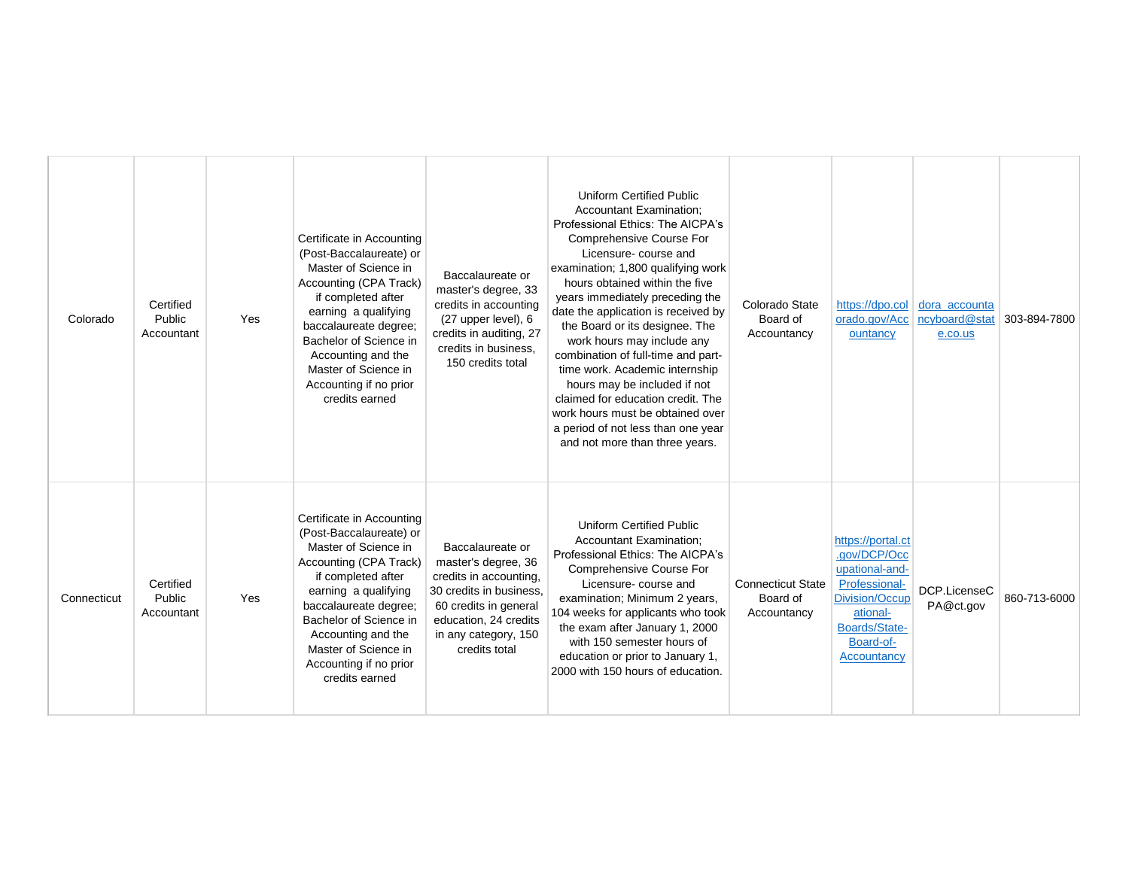| Colorado    | Certified<br>Public<br>Accountant | Yes | Certificate in Accounting<br>(Post-Baccalaureate) or<br>Master of Science in<br>Accounting (CPA Track)<br>if completed after<br>earning a qualifying<br>baccalaureate degree;<br>Bachelor of Science in<br>Accounting and the<br>Master of Science in<br>Accounting if no prior<br>credits earned | Baccalaureate or<br>master's degree, 33<br>credits in accounting<br>(27 upper level), 6<br>credits in auditing, 27<br>credits in business.<br>150 credits total                         | <b>Uniform Certified Public</b><br><b>Accountant Examination:</b><br>Professional Ethics: The AICPA's<br>Comprehensive Course For<br>Licensure-course and<br>examination; 1,800 qualifying work<br>hours obtained within the five<br>years immediately preceding the<br>date the application is received by<br>the Board or its designee. The<br>work hours may include any<br>combination of full-time and part-<br>time work. Academic internship<br>hours may be included if not<br>claimed for education credit. The<br>work hours must be obtained over<br>a period of not less than one year | Colorado State<br>Board of<br>Accountancy           | https://dpo.col<br>orado.gov/Acc<br>ountancy                                                                                                    | dora accounta<br>ncyboard@stat<br>e.co.us | 303-894-7800 |
|-------------|-----------------------------------|-----|---------------------------------------------------------------------------------------------------------------------------------------------------------------------------------------------------------------------------------------------------------------------------------------------------|-----------------------------------------------------------------------------------------------------------------------------------------------------------------------------------------|----------------------------------------------------------------------------------------------------------------------------------------------------------------------------------------------------------------------------------------------------------------------------------------------------------------------------------------------------------------------------------------------------------------------------------------------------------------------------------------------------------------------------------------------------------------------------------------------------|-----------------------------------------------------|-------------------------------------------------------------------------------------------------------------------------------------------------|-------------------------------------------|--------------|
| Connecticut | Certified<br>Public<br>Accountant | Yes | Certificate in Accounting<br>(Post-Baccalaureate) or<br>Master of Science in<br>Accounting (CPA Track)<br>if completed after<br>earning a qualifying<br>baccalaureate degree;<br>Bachelor of Science in<br>Accounting and the<br>Master of Science in<br>Accounting if no prior<br>credits earned | Baccalaureate or<br>master's degree, 36<br>credits in accounting.<br>30 credits in business,<br>60 credits in general<br>education, 24 credits<br>in any category, 150<br>credits total | and not more than three years.<br><b>Uniform Certified Public</b><br><b>Accountant Examination:</b><br>Professional Ethics: The AICPA's<br>Comprehensive Course For<br>Licensure-course and<br>examination; Minimum 2 years,<br>104 weeks for applicants who took<br>the exam after January 1, 2000<br>with 150 semester hours of<br>education or prior to January 1,<br>2000 with 150 hours of education.                                                                                                                                                                                         | <b>Connecticut State</b><br>Board of<br>Accountancy | https://portal.ct<br>.gov/DCP/Occ<br>upational-and-<br>Professional-<br>Division/Occup<br>ational-<br>Boards/State-<br>Board-of-<br>Accountancy | DCP.LicenseC<br>PA@ct.gov                 | 860-713-6000 |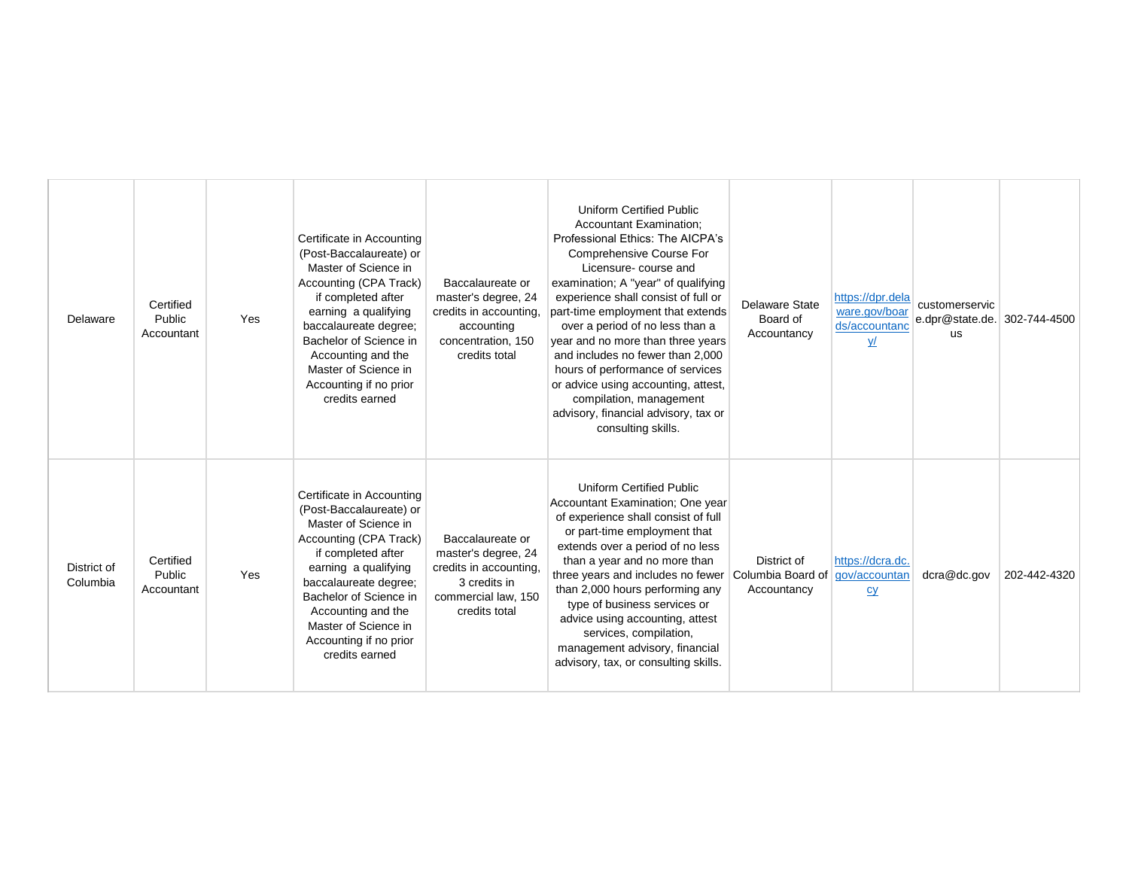| Delaware                | Certified<br>Public<br>Accountant | Yes | Certificate in Accounting<br>(Post-Baccalaureate) or<br>Master of Science in<br>Accounting (CPA Track)<br>if completed after<br>earning a qualifying<br>baccalaureate degree;<br>Bachelor of Science in<br>Accounting and the<br>Master of Science in<br>Accounting if no prior<br>credits earned | Baccalaureate or<br>master's degree, 24<br>credits in accounting,<br>accounting<br>concentration, 150<br>credits total    | <b>Uniform Certified Public</b><br><b>Accountant Examination:</b><br>Professional Ethics: The AICPA's<br>Comprehensive Course For<br>Licensure-course and<br>examination; A "year" of qualifying<br>experience shall consist of full or<br>part-time employment that extends<br>over a period of no less than a<br>year and no more than three years<br>and includes no fewer than 2,000<br>hours of performance of services<br>or advice using accounting, attest,<br>compilation, management<br>advisory, financial advisory, tax or<br>consulting skills. | Delaware State<br>Board of<br>Accountancy       | https://dpr.dela<br>ware.gov/boar<br>ds/accountanc<br>$Y$ | customerservic<br>e.dpr@state.de. 302-744-4500<br><b>us</b> |              |
|-------------------------|-----------------------------------|-----|---------------------------------------------------------------------------------------------------------------------------------------------------------------------------------------------------------------------------------------------------------------------------------------------------|---------------------------------------------------------------------------------------------------------------------------|--------------------------------------------------------------------------------------------------------------------------------------------------------------------------------------------------------------------------------------------------------------------------------------------------------------------------------------------------------------------------------------------------------------------------------------------------------------------------------------------------------------------------------------------------------------|-------------------------------------------------|-----------------------------------------------------------|-------------------------------------------------------------|--------------|
| District of<br>Columbia | Certified<br>Public<br>Accountant | Yes | Certificate in Accounting<br>(Post-Baccalaureate) or<br>Master of Science in<br>Accounting (CPA Track)<br>if completed after<br>earning a qualifying<br>baccalaureate degree;<br>Bachelor of Science in<br>Accounting and the<br>Master of Science in<br>Accounting if no prior<br>credits earned | Baccalaureate or<br>master's degree, 24<br>credits in accounting,<br>3 credits in<br>commercial law, 150<br>credits total | <b>Uniform Certified Public</b><br>Accountant Examination; One year<br>of experience shall consist of full<br>or part-time employment that<br>extends over a period of no less<br>than a year and no more than<br>three years and includes no fewer<br>than 2,000 hours performing any<br>type of business services or<br>advice using accounting, attest<br>services, compilation,<br>management advisory, financial<br>advisory, tax, or consulting skills.                                                                                                | District of<br>Columbia Board of<br>Accountancy | https://dcra.dc.<br>gov/accountan<br>cy                   | $d$ cra $@$ dc.gov                                          | 202-442-4320 |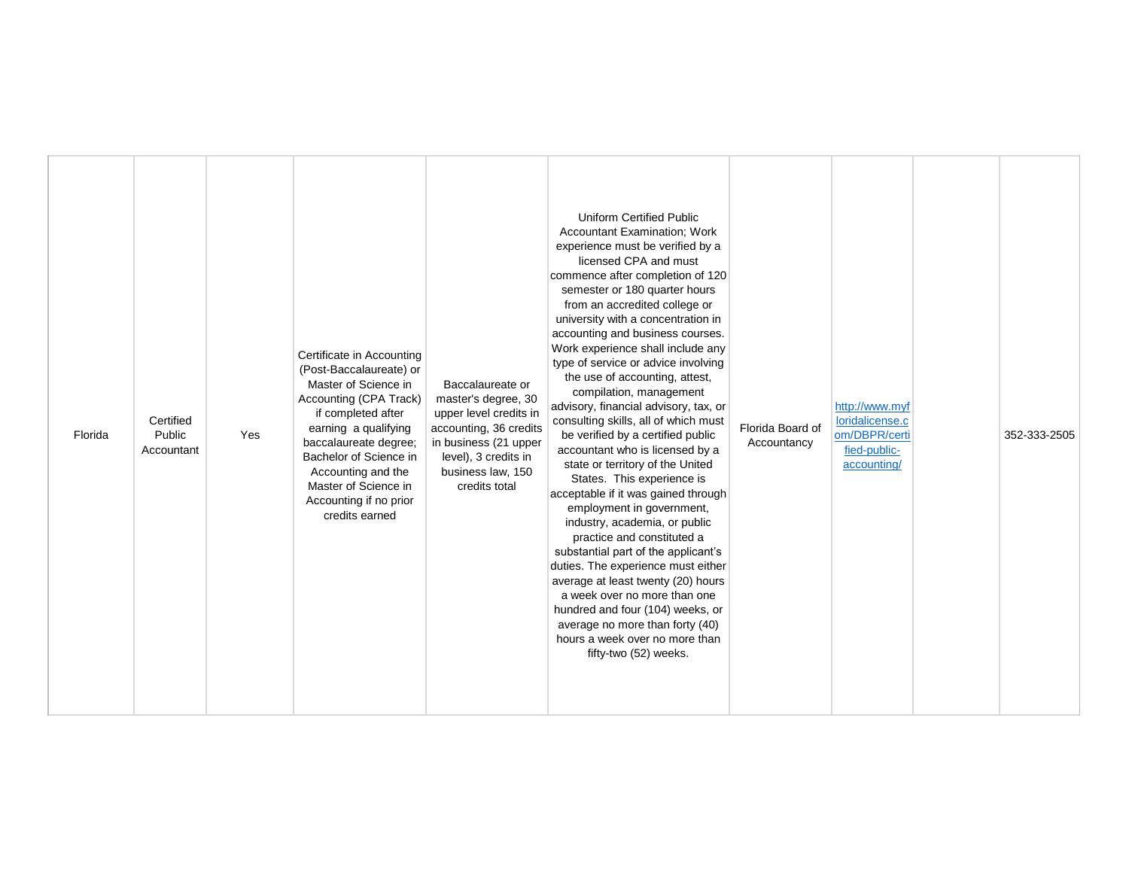| earning a qualifying<br>accounting, 36 credits<br>Florida Board of<br>om/DBPR/certi<br>Public<br>Florida<br>Yes<br>be verified by a certified public<br>352-333-2505<br>baccalaureate degree:<br>in business (21 upper<br>Accountancy<br>accountant who is licensed by a<br>fied-public-<br>Accountant<br>Bachelor of Science in<br>level), 3 credits in<br>state or territory of the United<br>accounting/<br>business law, 150<br>Accounting and the<br>States. This experience is<br>Master of Science in<br>credits total<br>acceptable if it was gained through<br>Accounting if no prior<br>employment in government,<br>credits earned<br>industry, academia, or public<br>practice and constituted a<br>substantial part of the applicant's<br>duties. The experience must either<br>average at least twenty (20) hours<br>a week over no more than one<br>hundred and four (104) weeks, or<br>average no more than forty (40)<br>hours a week over no more than<br>fifty-two (52) weeks. |
|---------------------------------------------------------------------------------------------------------------------------------------------------------------------------------------------------------------------------------------------------------------------------------------------------------------------------------------------------------------------------------------------------------------------------------------------------------------------------------------------------------------------------------------------------------------------------------------------------------------------------------------------------------------------------------------------------------------------------------------------------------------------------------------------------------------------------------------------------------------------------------------------------------------------------------------------------------------------------------------------------|
|---------------------------------------------------------------------------------------------------------------------------------------------------------------------------------------------------------------------------------------------------------------------------------------------------------------------------------------------------------------------------------------------------------------------------------------------------------------------------------------------------------------------------------------------------------------------------------------------------------------------------------------------------------------------------------------------------------------------------------------------------------------------------------------------------------------------------------------------------------------------------------------------------------------------------------------------------------------------------------------------------|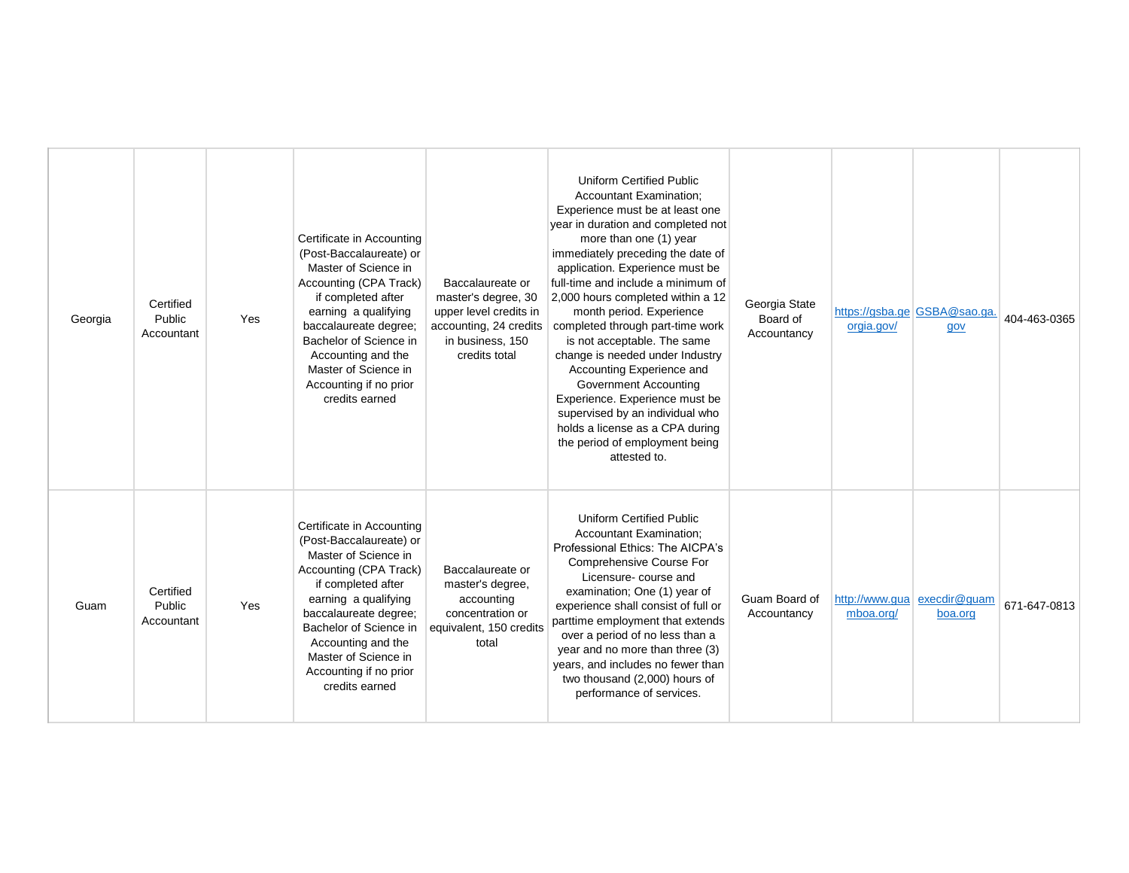| Georgia | Certified<br>Public<br>Accountant | Yes | Certificate in Accounting<br>(Post-Baccalaureate) or<br>Master of Science in<br>Accounting (CPA Track)<br>if completed after<br>earning a qualifying<br>baccalaureate degree;<br>Bachelor of Science in<br>Accounting and the<br>Master of Science in<br>Accounting if no prior<br>credits earned | Baccalaureate or<br>master's degree, 30<br>upper level credits in<br>accounting, 24 credits<br>in business, 150<br>credits total | <b>Uniform Certified Public</b><br><b>Accountant Examination:</b><br>Experience must be at least one<br>year in duration and completed not<br>more than one (1) year<br>immediately preceding the date of<br>application. Experience must be<br>full-time and include a minimum of<br>2,000 hours completed within a 12<br>month period. Experience<br>completed through part-time work<br>is not acceptable. The same<br>change is needed under Industry<br>Accounting Experience and<br><b>Government Accounting</b><br>Experience. Experience must be<br>supervised by an individual who<br>holds a license as a CPA during<br>the period of employment being<br>attested to. | Georgia State<br>Board of<br>Accountancy | orgia.gov/ | https://qsba.qe GSBA@sao.qa.<br>gov    | 404-463-0365 |
|---------|-----------------------------------|-----|---------------------------------------------------------------------------------------------------------------------------------------------------------------------------------------------------------------------------------------------------------------------------------------------------|----------------------------------------------------------------------------------------------------------------------------------|----------------------------------------------------------------------------------------------------------------------------------------------------------------------------------------------------------------------------------------------------------------------------------------------------------------------------------------------------------------------------------------------------------------------------------------------------------------------------------------------------------------------------------------------------------------------------------------------------------------------------------------------------------------------------------|------------------------------------------|------------|----------------------------------------|--------------|
| Guam    | Certified<br>Public<br>Accountant | Yes | Certificate in Accounting<br>(Post-Baccalaureate) or<br>Master of Science in<br>Accounting (CPA Track)<br>if completed after<br>earning a qualifying<br>baccalaureate degree;<br>Bachelor of Science in<br>Accounting and the<br>Master of Science in<br>Accounting if no prior<br>credits earned | Baccalaureate or<br>master's degree,<br>accounting<br>concentration or<br>equivalent, 150 credits<br>total                       | <b>Uniform Certified Public</b><br><b>Accountant Examination:</b><br>Professional Ethics: The AICPA's<br>Comprehensive Course For<br>Licensure-course and<br>examination; One (1) year of<br>experience shall consist of full or<br>parttime employment that extends<br>over a period of no less than a<br>year and no more than three (3)<br>years, and includes no fewer than<br>two thousand (2,000) hours of<br>performance of services.                                                                                                                                                                                                                                     | Guam Board of<br>Accountancy             | mboa.org/  | http://www.qua execdir@quam<br>boa.org | 671-647-0813 |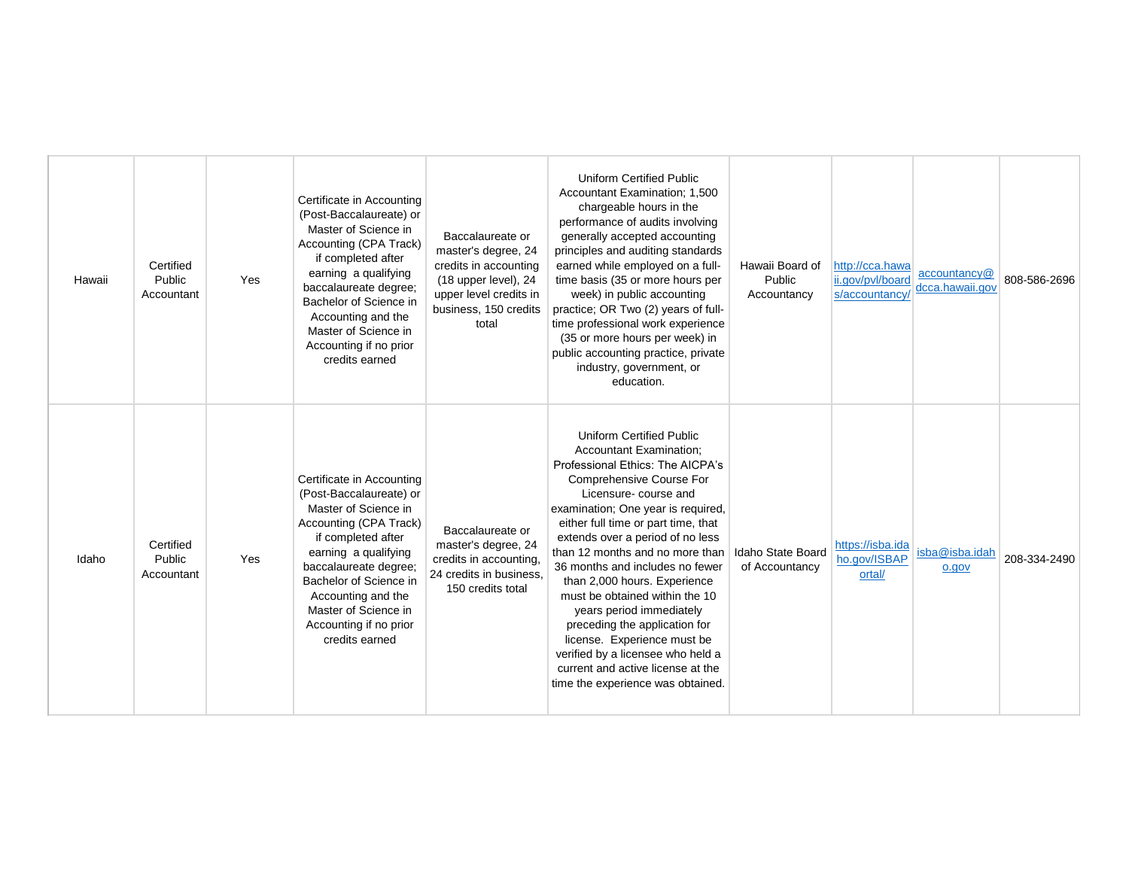| Hawaii | Certified<br>Public<br>Accountant | Yes | Certificate in Accounting<br>(Post-Baccalaureate) or<br>Master of Science in<br>Accounting (CPA Track)<br>if completed after<br>earning a qualifying<br>baccalaureate degree;<br>Bachelor of Science in<br>Accounting and the<br>Master of Science in<br>Accounting if no prior<br>credits earned | Baccalaureate or<br>master's degree, 24<br>credits in accounting<br>(18 upper level), 24<br>upper level credits in<br>business, 150 credits<br>total | <b>Uniform Certified Public</b><br>Accountant Examination; 1,500<br>chargeable hours in the<br>performance of audits involving<br>generally accepted accounting<br>principles and auditing standards<br>earned while employed on a full-<br>time basis (35 or more hours per<br>week) in public accounting<br>practice; OR Two (2) years of full-<br>time professional work experience<br>(35 or more hours per week) in<br>public accounting practice, private<br>industry, government, or<br>education.                                                                                                                     | Hawaii Board of<br>Public<br>Accountancy | http://cca.hawa<br>ii.gov/pvl/board<br>s/accountancy | accountancy@<br>dcca.hawaii.gov | 808-586-2696 |
|--------|-----------------------------------|-----|---------------------------------------------------------------------------------------------------------------------------------------------------------------------------------------------------------------------------------------------------------------------------------------------------|------------------------------------------------------------------------------------------------------------------------------------------------------|-------------------------------------------------------------------------------------------------------------------------------------------------------------------------------------------------------------------------------------------------------------------------------------------------------------------------------------------------------------------------------------------------------------------------------------------------------------------------------------------------------------------------------------------------------------------------------------------------------------------------------|------------------------------------------|------------------------------------------------------|---------------------------------|--------------|
| Idaho  | Certified<br>Public<br>Accountant | Yes | Certificate in Accounting<br>(Post-Baccalaureate) or<br>Master of Science in<br>Accounting (CPA Track)<br>if completed after<br>earning a qualifying<br>baccalaureate degree;<br>Bachelor of Science in<br>Accounting and the<br>Master of Science in<br>Accounting if no prior<br>credits earned | Baccalaureate or<br>master's degree, 24<br>credits in accounting,<br>24 credits in business,<br>150 credits total                                    | <b>Uniform Certified Public</b><br><b>Accountant Examination:</b><br>Professional Ethics: The AICPA's<br>Comprehensive Course For<br>Licensure-course and<br>examination; One year is required,<br>either full time or part time, that<br>extends over a period of no less<br>than 12 months and no more than<br>36 months and includes no fewer<br>than 2,000 hours. Experience<br>must be obtained within the 10<br>years period immediately<br>preceding the application for<br>license. Experience must be<br>verified by a licensee who held a<br>current and active license at the<br>time the experience was obtained. | Idaho State Board<br>of Accountancy      | https://isba.ida<br>ho.gov/ISBAP<br>ortal/           | isba@isba.idah<br>o.gov         | 208-334-2490 |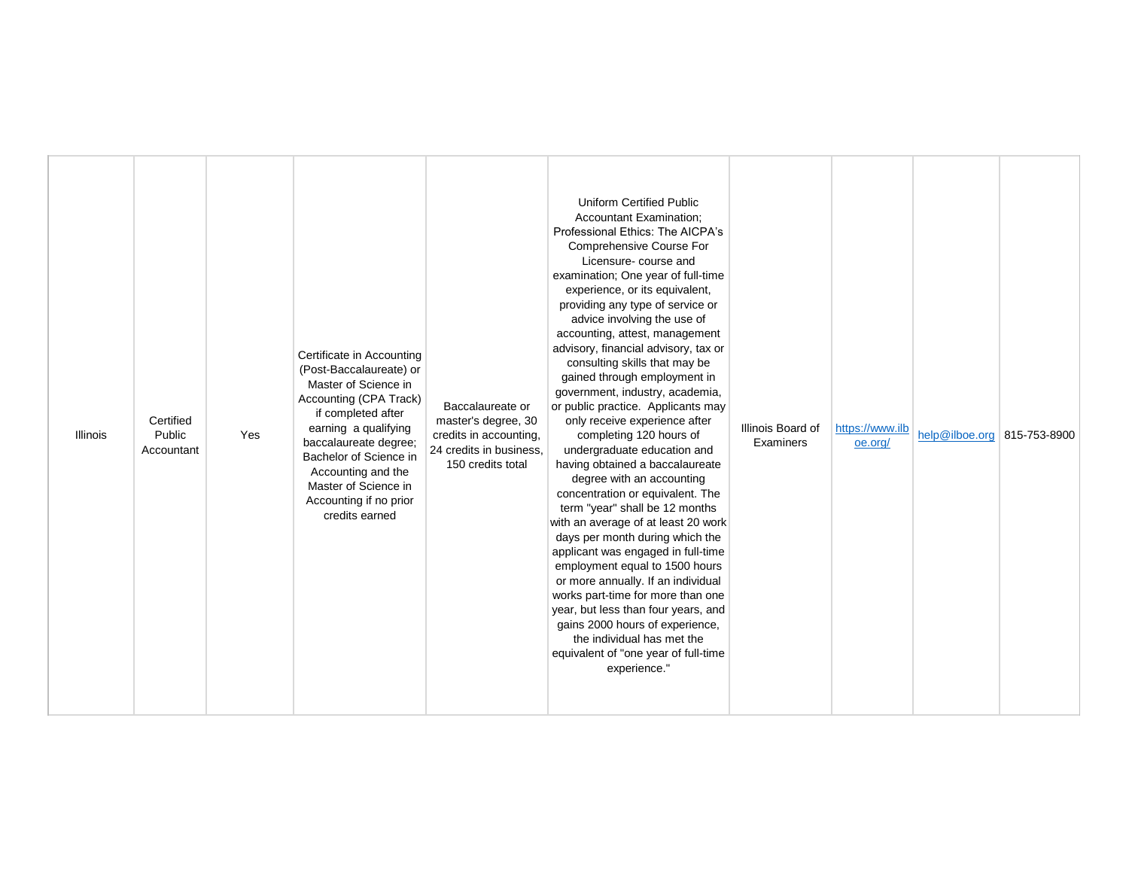| <b>Illinois</b> | Certified<br>Public<br>Accountant | Yes | Certificate in Accounting<br>(Post-Baccalaureate) or<br>Master of Science in<br>Accounting (CPA Track)<br>if completed after<br>earning a qualifying<br>baccalaureate degree;<br>Bachelor of Science in<br>Accounting and the<br>Master of Science in<br>Accounting if no prior<br>credits earned | Baccalaureate or<br>master's degree, 30<br>credits in accounting,<br>24 credits in business,<br>150 credits total | <b>Uniform Certified Public</b><br>Accountant Examination;<br>Professional Ethics: The AICPA's<br>Comprehensive Course For<br>Licensure-course and<br>examination; One year of full-time<br>experience, or its equivalent,<br>providing any type of service or<br>advice involving the use of<br>accounting, attest, management<br>advisory, financial advisory, tax or<br>consulting skills that may be<br>gained through employment in<br>government, industry, academia,<br>or public practice. Applicants may<br>only receive experience after<br>completing 120 hours of<br>undergraduate education and<br>having obtained a baccalaureate<br>degree with an accounting<br>concentration or equivalent. The<br>term "year" shall be 12 months<br>with an average of at least 20 work<br>days per month during which the<br>applicant was engaged in full-time<br>employment equal to 1500 hours<br>or more annually. If an individual<br>works part-time for more than one<br>year, but less than four years, and<br>gains 2000 hours of experience,<br>the individual has met the<br>equivalent of "one year of full-time<br>experience." | Illinois Board of<br>Examiners | https://www.ilb<br>oe.org/ | help@ilboe.org 815-753-8900 |  |
|-----------------|-----------------------------------|-----|---------------------------------------------------------------------------------------------------------------------------------------------------------------------------------------------------------------------------------------------------------------------------------------------------|-------------------------------------------------------------------------------------------------------------------|-------------------------------------------------------------------------------------------------------------------------------------------------------------------------------------------------------------------------------------------------------------------------------------------------------------------------------------------------------------------------------------------------------------------------------------------------------------------------------------------------------------------------------------------------------------------------------------------------------------------------------------------------------------------------------------------------------------------------------------------------------------------------------------------------------------------------------------------------------------------------------------------------------------------------------------------------------------------------------------------------------------------------------------------------------------------------------------------------------------------------------------------------|--------------------------------|----------------------------|-----------------------------|--|
|-----------------|-----------------------------------|-----|---------------------------------------------------------------------------------------------------------------------------------------------------------------------------------------------------------------------------------------------------------------------------------------------------|-------------------------------------------------------------------------------------------------------------------|-------------------------------------------------------------------------------------------------------------------------------------------------------------------------------------------------------------------------------------------------------------------------------------------------------------------------------------------------------------------------------------------------------------------------------------------------------------------------------------------------------------------------------------------------------------------------------------------------------------------------------------------------------------------------------------------------------------------------------------------------------------------------------------------------------------------------------------------------------------------------------------------------------------------------------------------------------------------------------------------------------------------------------------------------------------------------------------------------------------------------------------------------|--------------------------------|----------------------------|-----------------------------|--|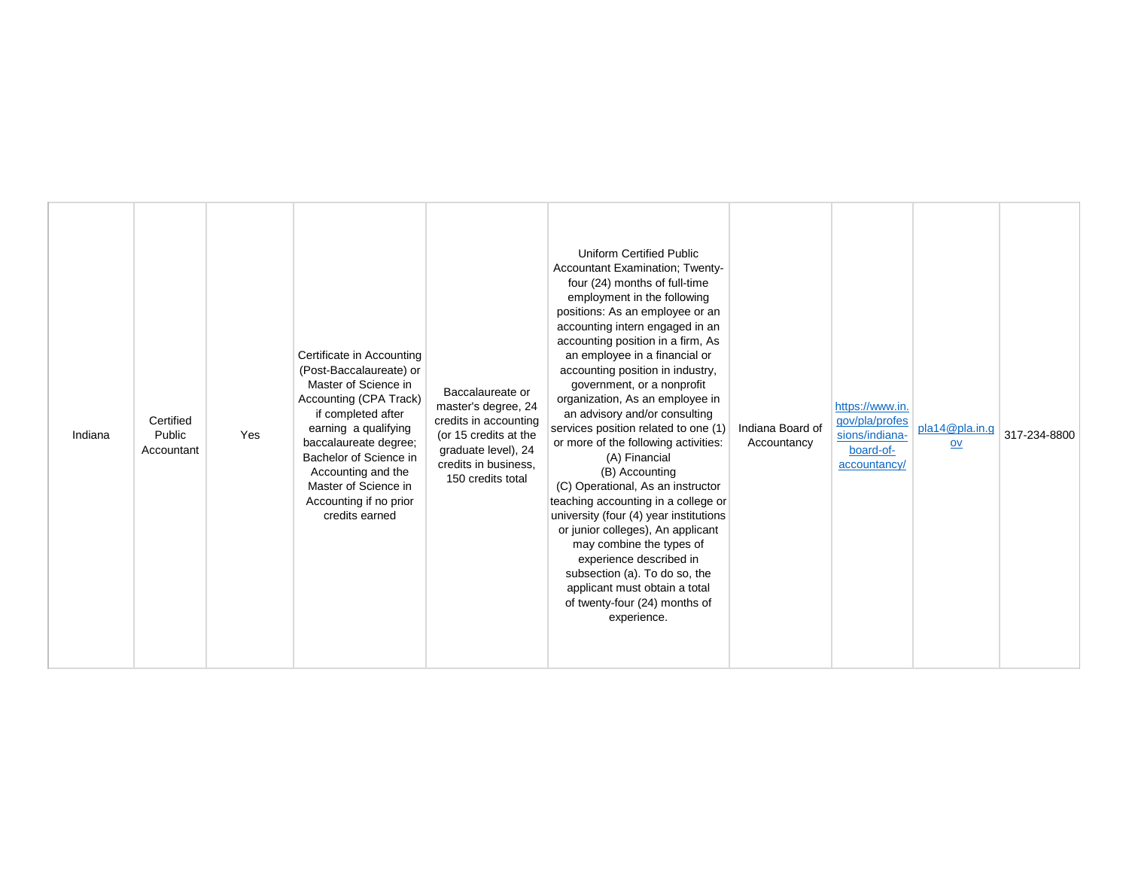| Master of Science in<br>government, or a nonprofit<br>Baccalaureate or<br>Accounting (CPA Track)<br>organization, As an employee in<br>https://www.in.<br>master's degree, 24<br>if completed after<br>an advisory and/or consulting<br>Certified<br>credits in accounting<br>gov/pla/profes<br>pla14@pla.in.g<br>services position related to one (1)<br>Indiana Board of<br>earning a qualifying<br>Public<br>(or 15 credits at the<br>Indiana<br>Yes<br>sions/indiana-<br>or more of the following activities:<br>baccalaureate degree;<br>Accountancy<br>$ov$<br>board-of-<br>graduate level), 24<br>Accountant<br>Bachelor of Science in<br>(A) Financial<br>credits in business.<br>accountancy/<br>Accounting and the<br>(B) Accounting<br>150 credits total<br>Master of Science in<br>(C) Operational, As an instructor<br>teaching accounting in a college or<br>Accounting if no prior<br>credits earned<br>university (four (4) year institutions<br>or junior colleges), An applicant<br>may combine the types of<br>experience described in<br>subsection (a). To do so, the<br>applicant must obtain a total<br>of twenty-four (24) months of<br>experience. |  |  | Certificate in Accounting<br>(Post-Baccalaureate) or |  | <b>Uniform Certified Public</b><br>Accountant Examination; Twenty-<br>four (24) months of full-time<br>employment in the following<br>positions: As an employee or an<br>accounting intern engaged in an<br>accounting position in a firm, As<br>an employee in a financial or<br>accounting position in industry, |  |  |  | 317-234-8800 |
|-----------------------------------------------------------------------------------------------------------------------------------------------------------------------------------------------------------------------------------------------------------------------------------------------------------------------------------------------------------------------------------------------------------------------------------------------------------------------------------------------------------------------------------------------------------------------------------------------------------------------------------------------------------------------------------------------------------------------------------------------------------------------------------------------------------------------------------------------------------------------------------------------------------------------------------------------------------------------------------------------------------------------------------------------------------------------------------------------------------------------------------------------------------------------------|--|--|------------------------------------------------------|--|--------------------------------------------------------------------------------------------------------------------------------------------------------------------------------------------------------------------------------------------------------------------------------------------------------------------|--|--|--|--------------|
|-----------------------------------------------------------------------------------------------------------------------------------------------------------------------------------------------------------------------------------------------------------------------------------------------------------------------------------------------------------------------------------------------------------------------------------------------------------------------------------------------------------------------------------------------------------------------------------------------------------------------------------------------------------------------------------------------------------------------------------------------------------------------------------------------------------------------------------------------------------------------------------------------------------------------------------------------------------------------------------------------------------------------------------------------------------------------------------------------------------------------------------------------------------------------------|--|--|------------------------------------------------------|--|--------------------------------------------------------------------------------------------------------------------------------------------------------------------------------------------------------------------------------------------------------------------------------------------------------------------|--|--|--|--------------|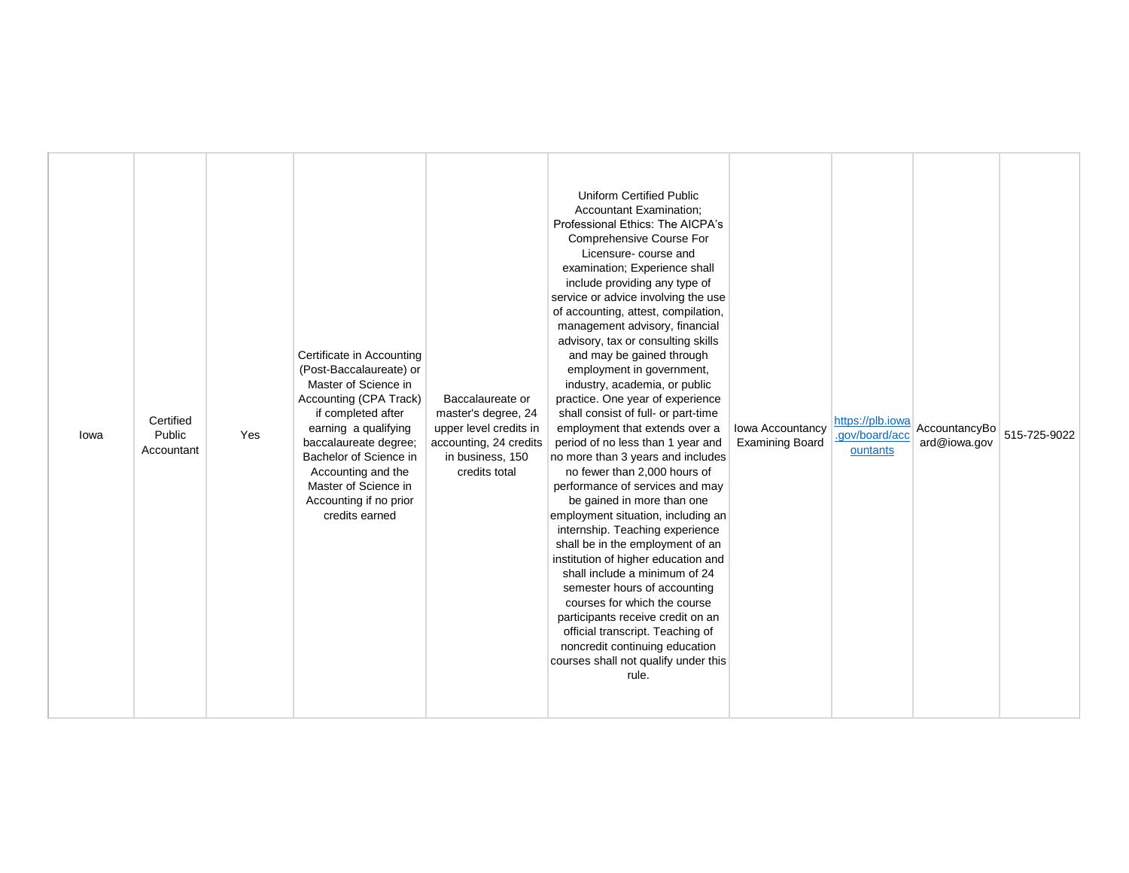| lowa | Certified<br>Public<br>Accountant | Yes | Certificate in Accounting<br>(Post-Baccalaureate) or<br>Master of Science in<br>Accounting (CPA Track)<br>if completed after<br>earning a qualifying<br>baccalaureate degree;<br>Bachelor of Science in<br>Accounting and the<br>Master of Science in<br>Accounting if no prior<br>credits earned | Baccalaureate or<br>master's degree, 24<br>upper level credits in<br>accounting, 24 credits<br>in business, 150<br>credits total | <b>Uniform Certified Public</b><br><b>Accountant Examination;</b><br>Professional Ethics: The AICPA's<br>Comprehensive Course For<br>Licensure-course and<br>examination; Experience shall<br>include providing any type of<br>service or advice involving the use<br>of accounting, attest, compilation,<br>management advisory, financial<br>advisory, tax or consulting skills<br>and may be gained through<br>employment in government,<br>industry, academia, or public<br>practice. One year of experience<br>shall consist of full- or part-time<br>employment that extends over a<br>period of no less than 1 year and<br>no more than 3 years and includes<br>no fewer than 2,000 hours of<br>performance of services and may<br>be gained in more than one<br>employment situation, including an<br>internship. Teaching experience<br>shall be in the employment of an<br>institution of higher education and<br>shall include a minimum of 24<br>semester hours of accounting<br>courses for which the course<br>participants receive credit on an<br>official transcript. Teaching of<br>noncredit continuing education<br>courses shall not qualify under this<br>rule. | Iowa Accountancy<br><b>Examining Board</b> | https://plb.iowa<br>.gov/board/acc<br>ountants | AccountancyBo<br>ard@iowa.gov | 515-725-9022 |
|------|-----------------------------------|-----|---------------------------------------------------------------------------------------------------------------------------------------------------------------------------------------------------------------------------------------------------------------------------------------------------|----------------------------------------------------------------------------------------------------------------------------------|---------------------------------------------------------------------------------------------------------------------------------------------------------------------------------------------------------------------------------------------------------------------------------------------------------------------------------------------------------------------------------------------------------------------------------------------------------------------------------------------------------------------------------------------------------------------------------------------------------------------------------------------------------------------------------------------------------------------------------------------------------------------------------------------------------------------------------------------------------------------------------------------------------------------------------------------------------------------------------------------------------------------------------------------------------------------------------------------------------------------------------------------------------------------------------------|--------------------------------------------|------------------------------------------------|-------------------------------|--------------|
|------|-----------------------------------|-----|---------------------------------------------------------------------------------------------------------------------------------------------------------------------------------------------------------------------------------------------------------------------------------------------------|----------------------------------------------------------------------------------------------------------------------------------|---------------------------------------------------------------------------------------------------------------------------------------------------------------------------------------------------------------------------------------------------------------------------------------------------------------------------------------------------------------------------------------------------------------------------------------------------------------------------------------------------------------------------------------------------------------------------------------------------------------------------------------------------------------------------------------------------------------------------------------------------------------------------------------------------------------------------------------------------------------------------------------------------------------------------------------------------------------------------------------------------------------------------------------------------------------------------------------------------------------------------------------------------------------------------------------|--------------------------------------------|------------------------------------------------|-------------------------------|--------------|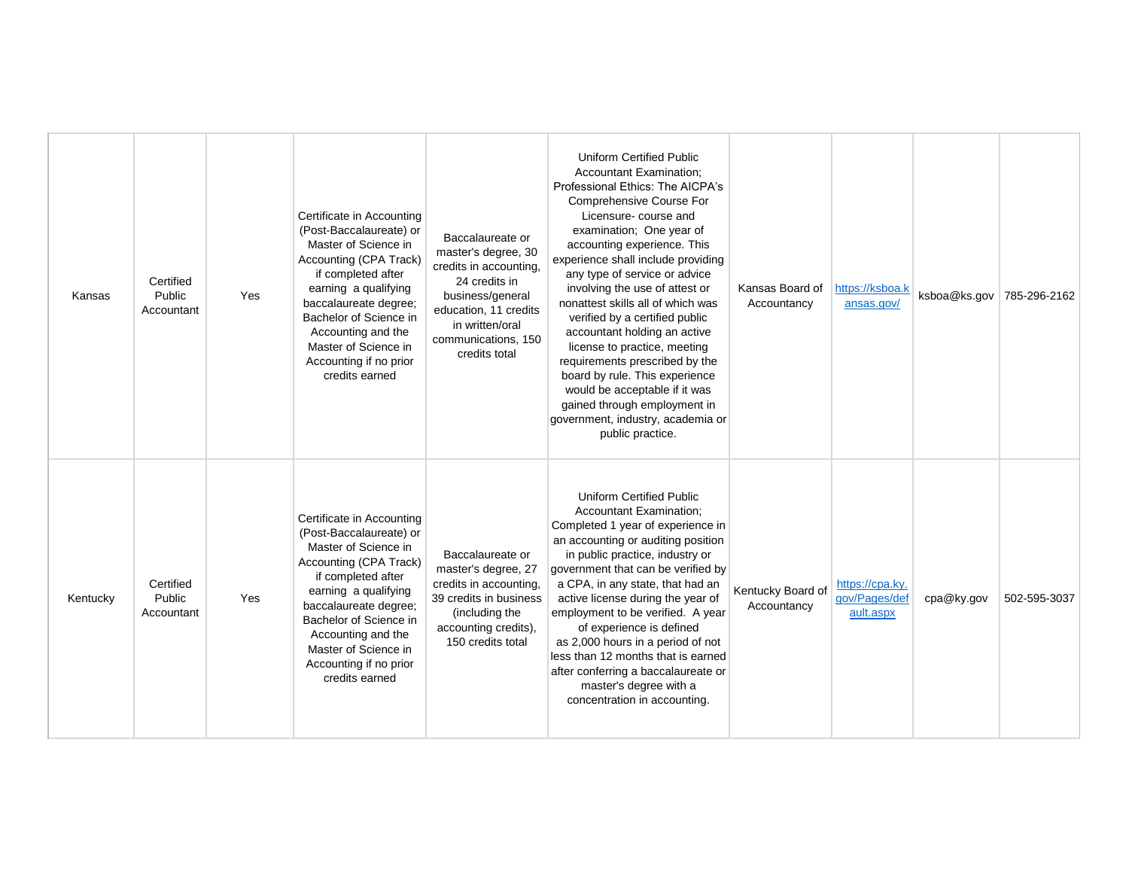| Kansas   | Certified<br>Public<br>Accountant | Yes | Certificate in Accounting<br>(Post-Baccalaureate) or<br>Master of Science in<br>Accounting (CPA Track)<br>if completed after<br>earning a qualifying<br>baccalaureate degree;<br>Bachelor of Science in<br>Accounting and the<br>Master of Science in<br>Accounting if no prior<br>credits earned | Baccalaureate or<br>master's degree, 30<br>credits in accounting,<br>24 credits in<br>business/general<br>education, 11 credits<br>in written/oral<br>communications, 150<br>credits total | <b>Uniform Certified Public</b><br><b>Accountant Examination:</b><br>Professional Ethics: The AICPA's<br>Comprehensive Course For<br>Licensure- course and<br>examination; One year of<br>accounting experience. This<br>experience shall include providing<br>any type of service or advice<br>involving the use of attest or<br>nonattest skills all of which was<br>verified by a certified public<br>accountant holding an active<br>license to practice, meeting<br>requirements prescribed by the<br>board by rule. This experience<br>would be acceptable if it was<br>gained through employment in<br>government, industry, academia or<br>public practice. | Kansas Board of<br>Accountancy   | https://ksboa.k<br>ansas.gov/                 | ksboa@ks.gov | 785-296-2162 |
|----------|-----------------------------------|-----|---------------------------------------------------------------------------------------------------------------------------------------------------------------------------------------------------------------------------------------------------------------------------------------------------|--------------------------------------------------------------------------------------------------------------------------------------------------------------------------------------------|---------------------------------------------------------------------------------------------------------------------------------------------------------------------------------------------------------------------------------------------------------------------------------------------------------------------------------------------------------------------------------------------------------------------------------------------------------------------------------------------------------------------------------------------------------------------------------------------------------------------------------------------------------------------|----------------------------------|-----------------------------------------------|--------------|--------------|
| Kentucky | Certified<br>Public<br>Accountant | Yes | Certificate in Accounting<br>(Post-Baccalaureate) or<br>Master of Science in<br>Accounting (CPA Track)<br>if completed after<br>earning a qualifying<br>baccalaureate degree;<br>Bachelor of Science in<br>Accounting and the<br>Master of Science in<br>Accounting if no prior<br>credits earned | Baccalaureate or<br>master's degree, 27<br>credits in accounting,<br>39 credits in business<br>(including the<br>accounting credits),<br>150 credits total                                 | <b>Uniform Certified Public</b><br><b>Accountant Examination;</b><br>Completed 1 year of experience in<br>an accounting or auditing position<br>in public practice, industry or<br>government that can be verified by<br>a CPA, in any state, that had an<br>active license during the year of<br>employment to be verified. A year<br>of experience is defined<br>as 2,000 hours in a period of not<br>less than 12 months that is earned<br>after conferring a baccalaureate or<br>master's degree with a<br>concentration in accounting.                                                                                                                         | Kentucky Board of<br>Accountancy | https://cpa.ky.<br>gov/Pages/def<br>ault.aspx | cpa@ky.gov   | 502-595-3037 |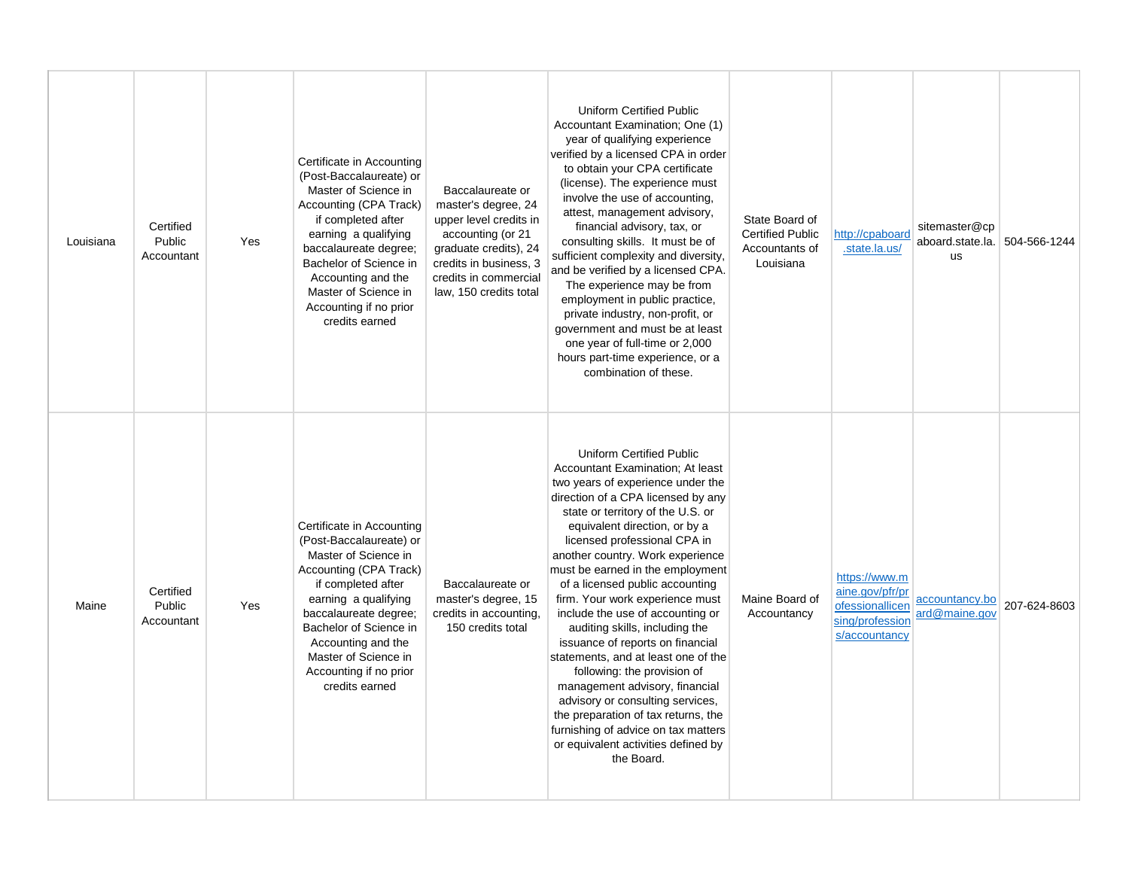| Louisiana | Certified<br>Public<br>Accountant | Yes | Certificate in Accounting<br>(Post-Baccalaureate) or<br>Master of Science in<br>Accounting (CPA Track)<br>if completed after<br>earning a qualifying<br>baccalaureate degree;<br>Bachelor of Science in<br>Accounting and the<br>Master of Science in<br>Accounting if no prior<br>credits earned | Baccalaureate or<br>master's degree, 24<br>upper level credits in<br>accounting (or 21<br>graduate credits), 24<br>credits in business, 3<br>credits in commercial<br>law, 150 credits total | <b>Uniform Certified Public</b><br>Accountant Examination; One (1)<br>year of qualifying experience<br>verified by a licensed CPA in order<br>to obtain your CPA certificate<br>(license). The experience must<br>involve the use of accounting,<br>attest, management advisory,<br>financial advisory, tax, or<br>consulting skills. It must be of<br>sufficient complexity and diversity,<br>and be verified by a licensed CPA.<br>The experience may be from<br>employment in public practice,<br>private industry, non-profit, or<br>government and must be at least<br>one year of full-time or 2,000<br>hours part-time experience, or a<br>combination of these.                                                                                                                     | State Board of<br><b>Certified Public</b><br>Accountants of<br>Louisiana | http://cpaboard<br>.state.la.us/                                                        | sitemaster@cp<br>aboard.state.la.<br><b>us</b> | 504-566-1244 |
|-----------|-----------------------------------|-----|---------------------------------------------------------------------------------------------------------------------------------------------------------------------------------------------------------------------------------------------------------------------------------------------------|----------------------------------------------------------------------------------------------------------------------------------------------------------------------------------------------|---------------------------------------------------------------------------------------------------------------------------------------------------------------------------------------------------------------------------------------------------------------------------------------------------------------------------------------------------------------------------------------------------------------------------------------------------------------------------------------------------------------------------------------------------------------------------------------------------------------------------------------------------------------------------------------------------------------------------------------------------------------------------------------------|--------------------------------------------------------------------------|-----------------------------------------------------------------------------------------|------------------------------------------------|--------------|
| Maine     | Certified<br>Public<br>Accountant | Yes | Certificate in Accounting<br>(Post-Baccalaureate) or<br>Master of Science in<br>Accounting (CPA Track)<br>if completed after<br>earning a qualifying<br>baccalaureate degree;<br>Bachelor of Science in<br>Accounting and the<br>Master of Science in<br>Accounting if no prior<br>credits earned | Baccalaureate or<br>master's degree, 15<br>credits in accounting,<br>150 credits total                                                                                                       | <b>Uniform Certified Public</b><br>Accountant Examination: At least<br>two years of experience under the<br>direction of a CPA licensed by any<br>state or territory of the U.S. or<br>equivalent direction, or by a<br>licensed professional CPA in<br>another country. Work experience<br>must be earned in the employment<br>of a licensed public accounting<br>firm. Your work experience must<br>include the use of accounting or<br>auditing skills, including the<br>issuance of reports on financial<br>statements, and at least one of the<br>following: the provision of<br>management advisory, financial<br>advisory or consulting services,<br>the preparation of tax returns, the<br>furnishing of advice on tax matters<br>or equivalent activities defined by<br>the Board. | Maine Board of<br>Accountancy                                            | https://www.m<br>aine.gov/pfr/pr<br>ofessionallicen<br>sing/profession<br>s/accountancy | accountancy.bo<br>ard@maine.gov                | 207-624-8603 |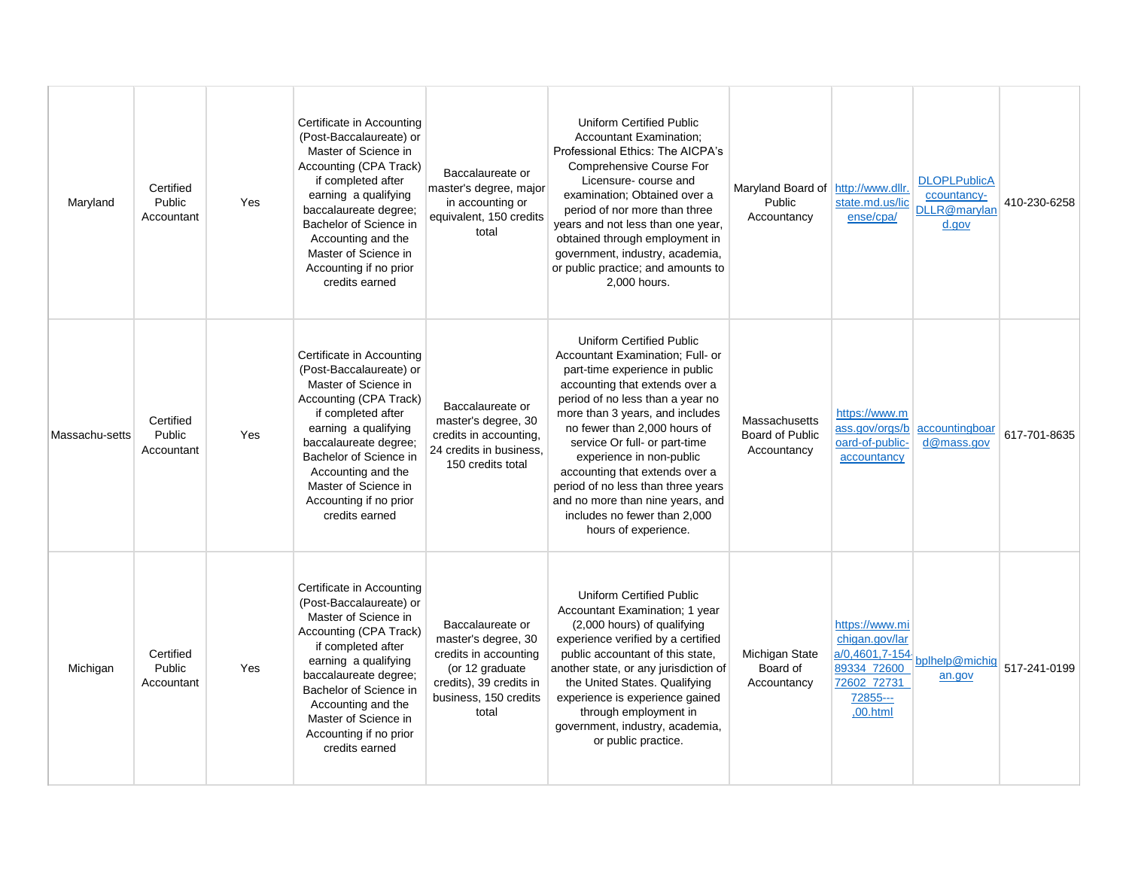| Maryland       | Certified<br>Public<br>Accountant | Yes | Certificate in Accounting<br>(Post-Baccalaureate) or<br>Master of Science in<br>Accounting (CPA Track)<br>if completed after<br>earning a qualifying<br>baccalaureate degree;<br>Bachelor of Science in<br>Accounting and the<br>Master of Science in<br>Accounting if no prior<br>credits earned | Baccalaureate or<br>master's degree, major<br>in accounting or<br>equivalent, 150 credits<br>total                                               | <b>Uniform Certified Public</b><br><b>Accountant Examination:</b><br>Professional Ethics: The AICPA's<br><b>Comprehensive Course For</b><br>Licensure- course and<br>examination; Obtained over a<br>period of nor more than three<br>years and not less than one year,<br>obtained through employment in<br>government, industry, academia,<br>or public practice; and amounts to<br>2,000 hours.                                                                              | Maryland Board of http://www.dllr.<br>Public<br>Accountancy | state.md.us/lic<br>ense/cpa/                                                           | <b>DLOPLPublicA</b><br>ccountancy-<br>DLLR@marylan<br>d.gov | 410-230-6258 |
|----------------|-----------------------------------|-----|---------------------------------------------------------------------------------------------------------------------------------------------------------------------------------------------------------------------------------------------------------------------------------------------------|--------------------------------------------------------------------------------------------------------------------------------------------------|---------------------------------------------------------------------------------------------------------------------------------------------------------------------------------------------------------------------------------------------------------------------------------------------------------------------------------------------------------------------------------------------------------------------------------------------------------------------------------|-------------------------------------------------------------|----------------------------------------------------------------------------------------|-------------------------------------------------------------|--------------|
| Massachu-setts | Certified<br>Public<br>Accountant | Yes | Certificate in Accounting<br>(Post-Baccalaureate) or<br>Master of Science in<br>Accounting (CPA Track)<br>if completed after<br>earning a qualifying<br>baccalaureate degree;<br>Bachelor of Science in<br>Accounting and the<br>Master of Science in<br>Accounting if no prior<br>credits earned | Baccalaureate or<br>master's degree, 30<br>credits in accounting.<br>24 credits in business,<br>150 credits total                                | <b>Uniform Certified Public</b><br>Accountant Examination; Full- or<br>part-time experience in public<br>accounting that extends over a<br>period of no less than a year no<br>more than 3 years, and includes<br>no fewer than 2,000 hours of<br>service Or full- or part-time<br>experience in non-public<br>accounting that extends over a<br>period of no less than three years<br>and no more than nine years, and<br>includes no fewer than 2,000<br>hours of experience. | Massachusetts<br><b>Board of Public</b><br>Accountancy      | https://www.m<br>oard-of-public-<br>accountancy                                        | ass.gov/orgs/b accountingboar<br>d@mass.gov                 | 617-701-8635 |
| Michigan       | Certified<br>Public<br>Accountant | Yes | Certificate in Accounting<br>(Post-Baccalaureate) or<br>Master of Science in<br>Accounting (CPA Track)<br>if completed after<br>earning a qualifying<br>baccalaureate degree;<br>Bachelor of Science in<br>Accounting and the<br>Master of Science in<br>Accounting if no prior<br>credits earned | Baccalaureate or<br>master's degree, 30<br>credits in accounting<br>(or 12 graduate<br>credits), 39 credits in<br>business, 150 credits<br>total | <b>Uniform Certified Public</b><br>Accountant Examination; 1 year<br>(2,000 hours) of qualifying<br>experience verified by a certified<br>public accountant of this state,<br>another state, or any jurisdiction of<br>the United States. Qualifying<br>experience is experience gained<br>through employment in<br>government, industry, academia,<br>or public practice.                                                                                                      | Michigan State<br>Board of<br>Accountancy                   | https://www.mi<br>chigan.gov/lar<br>89334_72600<br>72602 72731<br>72855---<br>,00.html | a/0,4601,7-154<br>bplhelp@michig<br>an.gov                  | 517-241-0199 |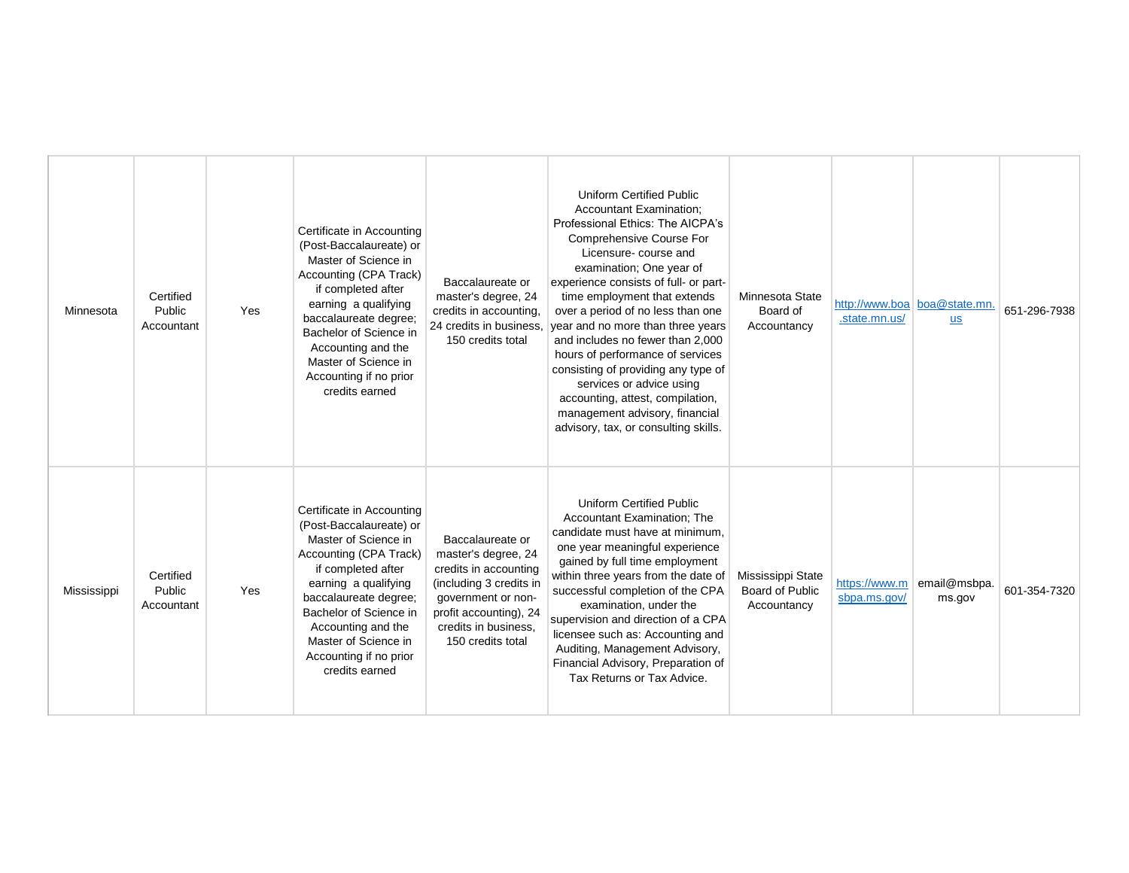| Minnesota   | Certified<br>Public<br>Accountant | Yes | Certificate in Accounting<br>(Post-Baccalaureate) or<br>Master of Science in<br>Accounting (CPA Track)<br>if completed after<br>earning a qualifying<br>baccalaureate degree;<br>Bachelor of Science in<br>Accounting and the<br>Master of Science in<br>Accounting if no prior<br>credits earned | Baccalaureate or<br>master's degree, 24<br>credits in accounting,<br>24 credits in business,<br>150 credits total                                                                        | <b>Uniform Certified Public</b><br><b>Accountant Examination:</b><br>Professional Ethics: The AICPA's<br><b>Comprehensive Course For</b><br>Licensure-course and<br>examination; One year of<br>experience consists of full- or part-<br>time employment that extends<br>over a period of no less than one<br>year and no more than three years<br>and includes no fewer than 2,000<br>hours of performance of services<br>consisting of providing any type of<br>services or advice using<br>accounting, attest, compilation,<br>management advisory, financial<br>advisory, tax, or consulting skills. | Minnesota State<br>Board of<br>Accountancy          | .state.mn.us/                 | http://www.boa boa@state.mn.<br><b>us</b> | 651-296-7938 |
|-------------|-----------------------------------|-----|---------------------------------------------------------------------------------------------------------------------------------------------------------------------------------------------------------------------------------------------------------------------------------------------------|------------------------------------------------------------------------------------------------------------------------------------------------------------------------------------------|----------------------------------------------------------------------------------------------------------------------------------------------------------------------------------------------------------------------------------------------------------------------------------------------------------------------------------------------------------------------------------------------------------------------------------------------------------------------------------------------------------------------------------------------------------------------------------------------------------|-----------------------------------------------------|-------------------------------|-------------------------------------------|--------------|
| Mississippi | Certified<br>Public<br>Accountant | Yes | Certificate in Accounting<br>(Post-Baccalaureate) or<br>Master of Science in<br>Accounting (CPA Track)<br>if completed after<br>earning a qualifying<br>baccalaureate degree;<br>Bachelor of Science in<br>Accounting and the<br>Master of Science in<br>Accounting if no prior<br>credits earned | Baccalaureate or<br>master's degree, 24<br>credits in accounting<br>(including 3 credits in<br>government or non-<br>profit accounting), 24<br>credits in business.<br>150 credits total | <b>Uniform Certified Public</b><br>Accountant Examination; The<br>candidate must have at minimum,<br>one year meaningful experience<br>gained by full time employment<br>within three years from the date of<br>successful completion of the CPA<br>examination, under the<br>supervision and direction of a CPA<br>licensee such as: Accounting and<br>Auditing, Management Advisory,<br>Financial Advisory, Preparation of<br>Tax Returns or Tax Advice.                                                                                                                                               | Mississippi State<br>Board of Public<br>Accountancy | https://www.m<br>sbpa.ms.gov/ | email@msbpa.<br>ms.gov                    | 601-354-7320 |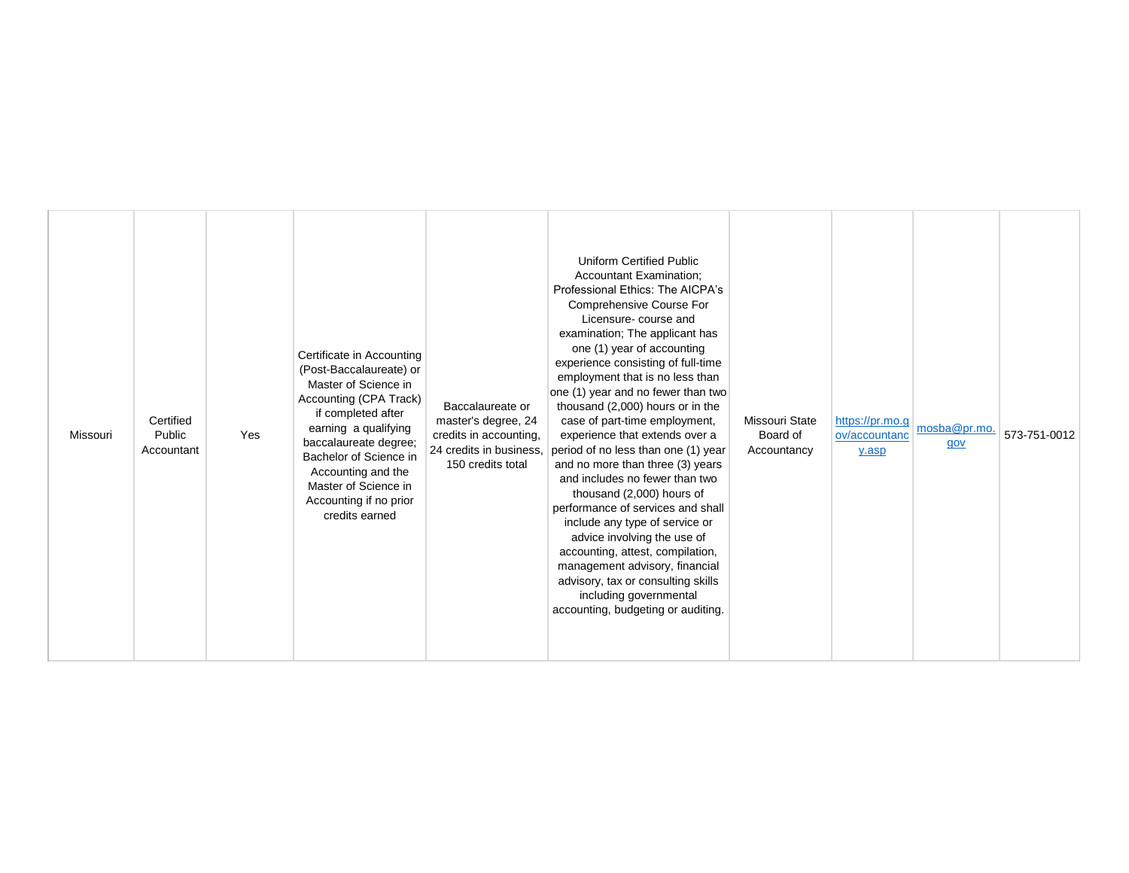| <b>Uniform Certified Public</b><br><b>Accountant Examination:</b><br>Professional Ethics: The AICPA's<br>Comprehensive Course For<br>Licensure-course and<br>examination; The applicant has<br>one (1) year of accounting<br>Certificate in Accounting<br>experience consisting of full-time<br>(Post-Baccalaureate) or<br>employment that is no less than<br>Master of Science in<br>one (1) year and no fewer than two<br>Accounting (CPA Track)<br>thousand (2,000) hours or in the<br>Baccalaureate or<br>if completed after<br>Certified<br>case of part-time employment,<br>Missouri State<br>master's degree, 24<br>https://pr.mo.g<br>mosba@pr.mo.<br>earning a qualifying<br>Public<br>Missouri<br>Yes<br>credits in accounting,<br>experience that extends over a<br>Board of<br>ov/accountanc<br>baccalaureate degree;<br>gov<br>24 credits in business,<br>period of no less than one (1) year<br>Accountant<br>Accountancy<br>y.asp<br>Bachelor of Science in<br>150 credits total<br>and no more than three (3) years<br>Accounting and the<br>and includes no fewer than two<br>Master of Science in<br>thousand (2,000) hours of<br>Accounting if no prior<br>performance of services and shall<br>credits earned<br>include any type of service or<br>advice involving the use of<br>accounting, attest, compilation,<br>management advisory, financial<br>advisory, tax or consulting skills<br>including governmental<br>accounting, budgeting or auditing. | 573-751-0012 |
|--------------------------------------------------------------------------------------------------------------------------------------------------------------------------------------------------------------------------------------------------------------------------------------------------------------------------------------------------------------------------------------------------------------------------------------------------------------------------------------------------------------------------------------------------------------------------------------------------------------------------------------------------------------------------------------------------------------------------------------------------------------------------------------------------------------------------------------------------------------------------------------------------------------------------------------------------------------------------------------------------------------------------------------------------------------------------------------------------------------------------------------------------------------------------------------------------------------------------------------------------------------------------------------------------------------------------------------------------------------------------------------------------------------------------------------------------------------------------------|--------------|
|--------------------------------------------------------------------------------------------------------------------------------------------------------------------------------------------------------------------------------------------------------------------------------------------------------------------------------------------------------------------------------------------------------------------------------------------------------------------------------------------------------------------------------------------------------------------------------------------------------------------------------------------------------------------------------------------------------------------------------------------------------------------------------------------------------------------------------------------------------------------------------------------------------------------------------------------------------------------------------------------------------------------------------------------------------------------------------------------------------------------------------------------------------------------------------------------------------------------------------------------------------------------------------------------------------------------------------------------------------------------------------------------------------------------------------------------------------------------------------|--------------|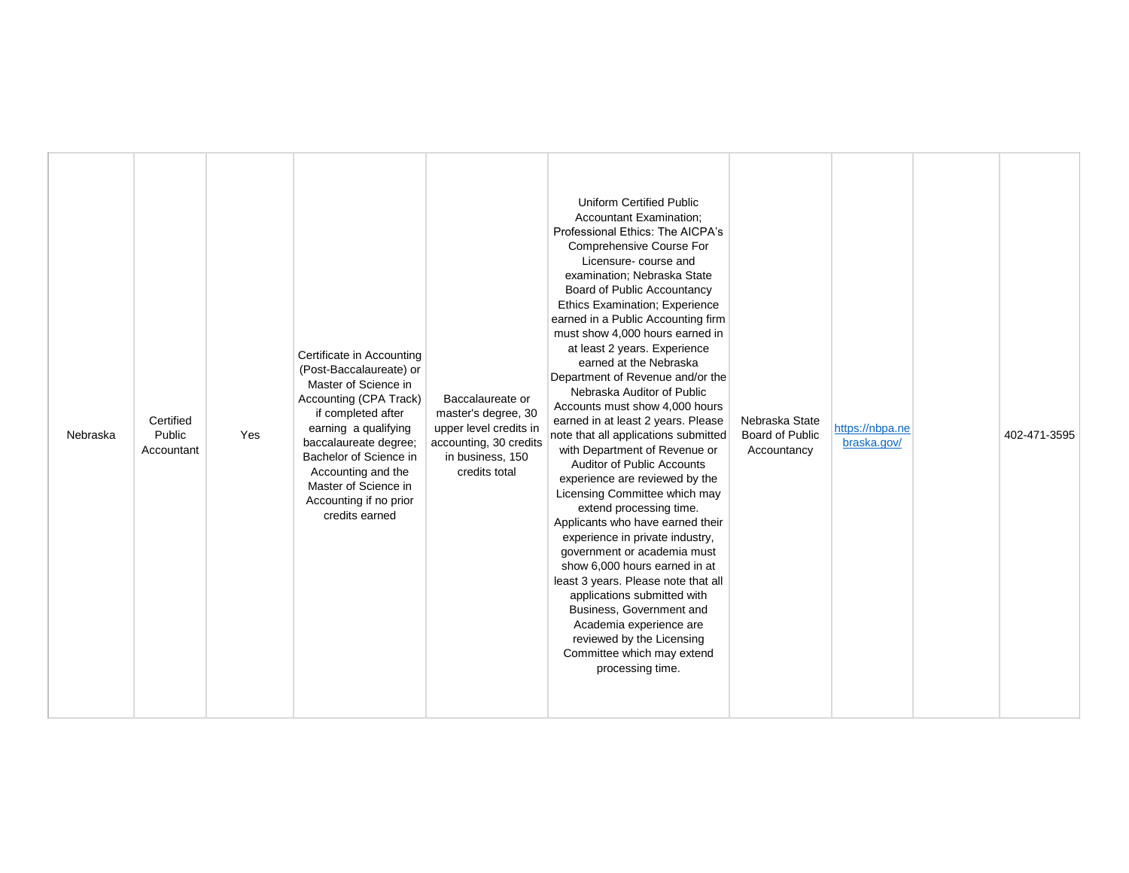| Certificate in Accounting<br>(Post-Baccalaureate) or<br>Master of Science in<br>Accounting (CPA Track)<br>Baccalaureate or<br>master's degree, 30<br>if completed after<br>Certified<br>earning a qualifying<br>upper level credits in<br>Public<br>Yes<br>Nebraska<br>baccalaureate degree;<br>accounting, 30 credits<br>Accountant<br>Bachelor of Science in<br>in business, 150<br>Accounting and the<br>credits total<br>Master of Science in<br>Accounting if no prior<br>credits earned | <b>Uniform Certified Public</b><br><b>Accountant Examination:</b><br>Professional Ethics: The AICPA's<br>Comprehensive Course For<br>Licensure- course and<br>examination; Nebraska State<br>Board of Public Accountancy<br><b>Ethics Examination; Experience</b><br>earned in a Public Accounting firm<br>must show 4,000 hours earned in<br>at least 2 years. Experience<br>earned at the Nebraska<br>Department of Revenue and/or the<br>Nebraska Auditor of Public<br>Accounts must show 4,000 hours<br>earned in at least 2 years. Please<br>Nebraska State<br>note that all applications submitted<br>Board of Public<br>with Department of Revenue or<br>Accountancy<br><b>Auditor of Public Accounts</b><br>experience are reviewed by the<br>Licensing Committee which may<br>extend processing time.<br>Applicants who have earned their<br>experience in private industry,<br>government or academia must<br>show 6,000 hours earned in at<br>least 3 years. Please note that all<br>applications submitted with<br>Business, Government and<br>Academia experience are<br>reviewed by the Licensing<br>Committee which may extend<br>processing time. | https://nbpa.ne<br>braska.gov/ | 402-471-3595 |
|-----------------------------------------------------------------------------------------------------------------------------------------------------------------------------------------------------------------------------------------------------------------------------------------------------------------------------------------------------------------------------------------------------------------------------------------------------------------------------------------------|-------------------------------------------------------------------------------------------------------------------------------------------------------------------------------------------------------------------------------------------------------------------------------------------------------------------------------------------------------------------------------------------------------------------------------------------------------------------------------------------------------------------------------------------------------------------------------------------------------------------------------------------------------------------------------------------------------------------------------------------------------------------------------------------------------------------------------------------------------------------------------------------------------------------------------------------------------------------------------------------------------------------------------------------------------------------------------------------------------------------------------------------------------------------|--------------------------------|--------------|
|-----------------------------------------------------------------------------------------------------------------------------------------------------------------------------------------------------------------------------------------------------------------------------------------------------------------------------------------------------------------------------------------------------------------------------------------------------------------------------------------------|-------------------------------------------------------------------------------------------------------------------------------------------------------------------------------------------------------------------------------------------------------------------------------------------------------------------------------------------------------------------------------------------------------------------------------------------------------------------------------------------------------------------------------------------------------------------------------------------------------------------------------------------------------------------------------------------------------------------------------------------------------------------------------------------------------------------------------------------------------------------------------------------------------------------------------------------------------------------------------------------------------------------------------------------------------------------------------------------------------------------------------------------------------------------|--------------------------------|--------------|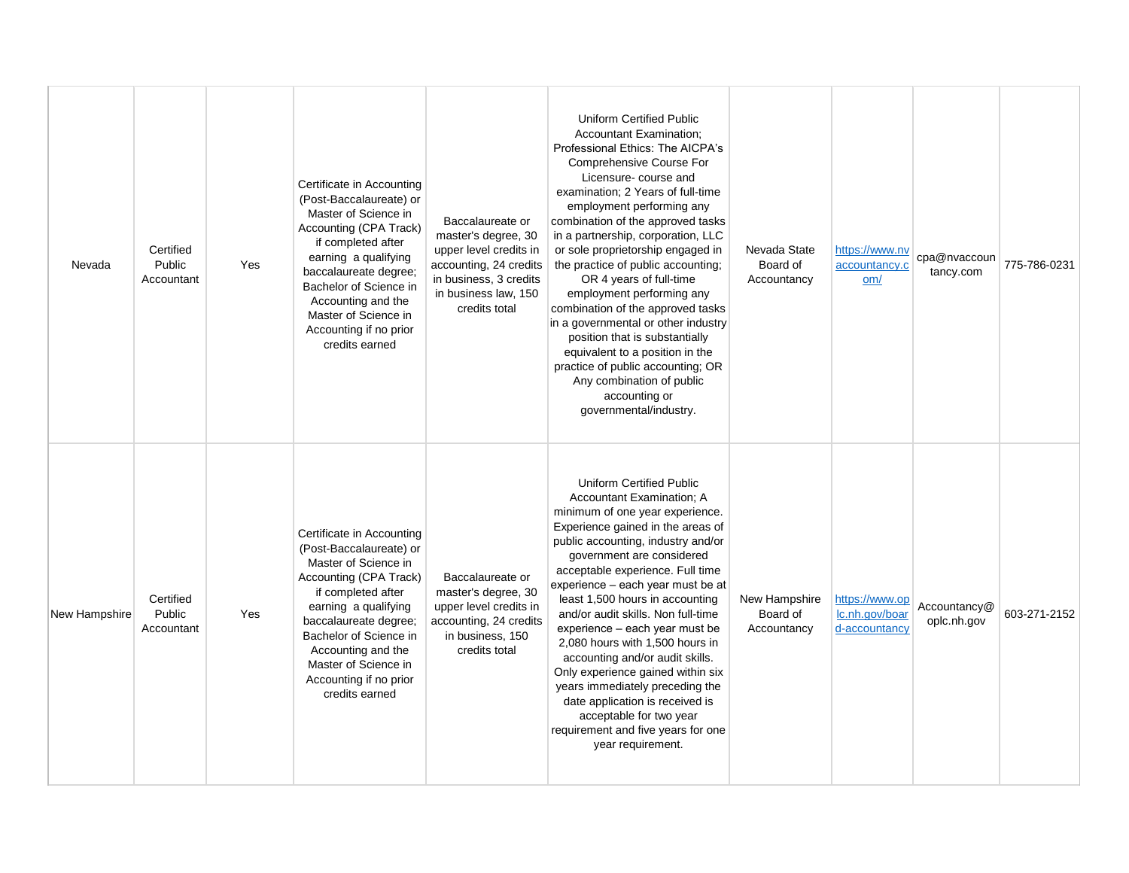| Nevada        | Certified<br>Public<br>Accountant | Yes | Certificate in Accounting<br>(Post-Baccalaureate) or<br>Master of Science in<br>Accounting (CPA Track)<br>if completed after<br>earning a qualifying<br>baccalaureate degree;<br>Bachelor of Science in<br>Accounting and the<br>Master of Science in<br>Accounting if no prior<br>credits earned | Baccalaureate or<br>master's degree, 30<br>upper level credits in<br>accounting, 24 credits<br>in business, 3 credits<br>in business law, 150<br>credits total | Uniform Certified Public<br><b>Accountant Examination:</b><br>Professional Ethics: The AICPA's<br>Comprehensive Course For<br>Licensure-course and<br>examination; 2 Years of full-time<br>employment performing any<br>combination of the approved tasks<br>in a partnership, corporation, LLC<br>or sole proprietorship engaged in<br>the practice of public accounting;<br>OR 4 years of full-time<br>employment performing any<br>combination of the approved tasks<br>in a governmental or other industry<br>position that is substantially<br>equivalent to a position in the<br>practice of public accounting; OR<br>Any combination of public<br>accounting or<br>governmental/industry. | Nevada State<br>Board of<br>Accountancy  | https://www.nv<br>accountancy.c<br>om/            | cpa@nvaccoun<br>tancy.com   | 775-786-0231 |
|---------------|-----------------------------------|-----|---------------------------------------------------------------------------------------------------------------------------------------------------------------------------------------------------------------------------------------------------------------------------------------------------|----------------------------------------------------------------------------------------------------------------------------------------------------------------|--------------------------------------------------------------------------------------------------------------------------------------------------------------------------------------------------------------------------------------------------------------------------------------------------------------------------------------------------------------------------------------------------------------------------------------------------------------------------------------------------------------------------------------------------------------------------------------------------------------------------------------------------------------------------------------------------|------------------------------------------|---------------------------------------------------|-----------------------------|--------------|
| New Hampshire | Certified<br>Public<br>Accountant | Yes | Certificate in Accounting<br>(Post-Baccalaureate) or<br>Master of Science in<br>Accounting (CPA Track)<br>if completed after<br>earning a qualifying<br>baccalaureate degree;<br>Bachelor of Science in<br>Accounting and the<br>Master of Science in<br>Accounting if no prior<br>credits earned | Baccalaureate or<br>master's degree, 30<br>upper level credits in<br>accounting, 24 credits<br>in business, 150<br>credits total                               | <b>Uniform Certified Public</b><br>Accountant Examination; A<br>minimum of one year experience.<br>Experience gained in the areas of<br>public accounting, industry and/or<br>government are considered<br>acceptable experience. Full time<br>experience – each year must be at<br>least 1,500 hours in accounting<br>and/or audit skills. Non full-time<br>experience - each year must be<br>2,080 hours with 1,500 hours in<br>accounting and/or audit skills.<br>Only experience gained within six<br>years immediately preceding the<br>date application is received is<br>acceptable for two year<br>requirement and five years for one<br>year requirement.                               | New Hampshire<br>Board of<br>Accountancy | https://www.op<br>Ic.nh.gov/boar<br>d-accountancy | Accountancy@<br>oplc.nh.gov | 603-271-2152 |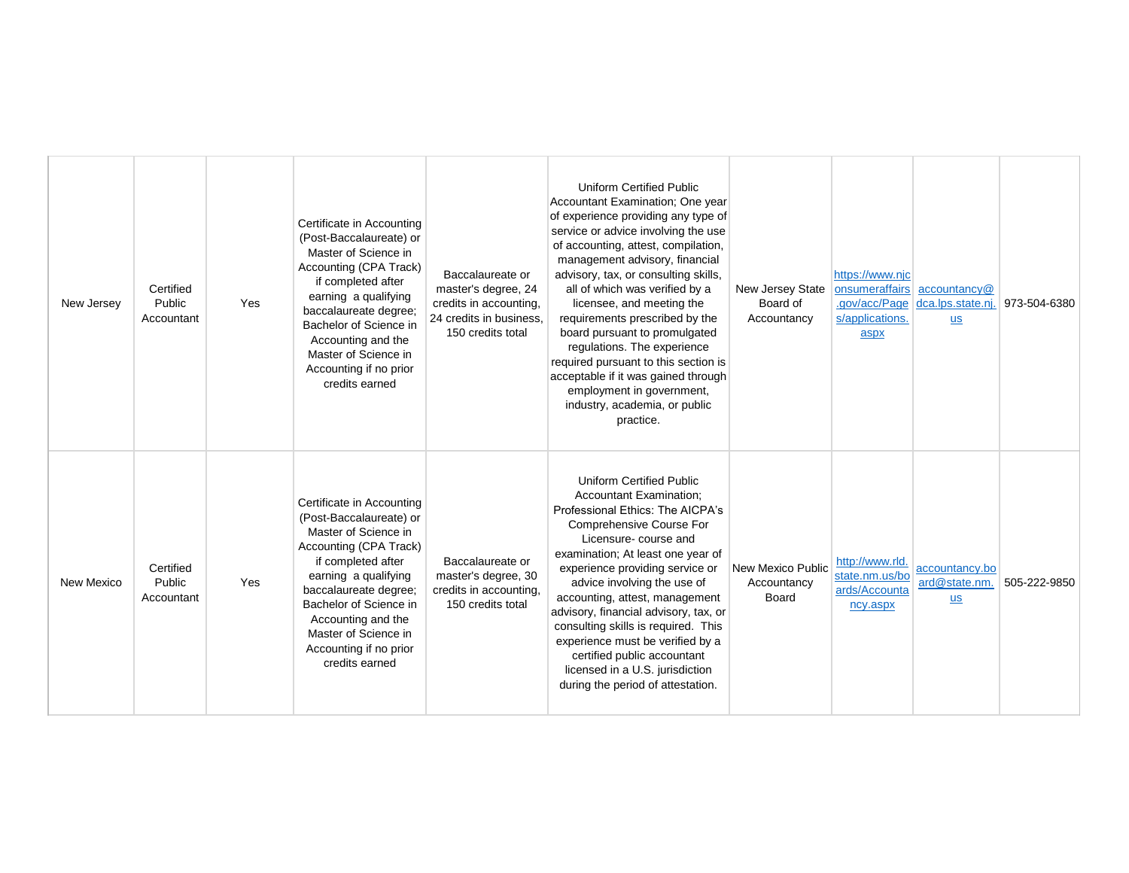| New Jersey        | Certified<br>Public<br>Accountant | Yes | Certificate in Accounting<br>(Post-Baccalaureate) or<br>Master of Science in<br>Accounting (CPA Track)<br>if completed after<br>earning a qualifying<br>baccalaureate degree;<br>Bachelor of Science in<br>Accounting and the<br>Master of Science in<br>Accounting if no prior<br>credits earned | Baccalaureate or<br>master's degree, 24<br>credits in accounting,<br>24 credits in business.<br>150 credits total | <b>Uniform Certified Public</b><br>Accountant Examination; One year<br>of experience providing any type of<br>service or advice involving the use<br>of accounting, attest, compilation,<br>management advisory, financial<br>advisory, tax, or consulting skills,<br>all of which was verified by a<br>licensee, and meeting the<br>requirements prescribed by the<br>board pursuant to promulgated<br>regulations. The experience<br>required pursuant to this section is<br>acceptable if it was gained through<br>employment in government,<br>industry, academia, or public<br>practice. | New Jersey State<br>Board of<br>Accountancy | https://www.nic<br>.gov/acc/Page<br>s/applications.<br>aspx    | onsumeraffairs accountancy@<br>dca.lps.state.nj<br>$S$ | 973-504-6380 |
|-------------------|-----------------------------------|-----|---------------------------------------------------------------------------------------------------------------------------------------------------------------------------------------------------------------------------------------------------------------------------------------------------|-------------------------------------------------------------------------------------------------------------------|-----------------------------------------------------------------------------------------------------------------------------------------------------------------------------------------------------------------------------------------------------------------------------------------------------------------------------------------------------------------------------------------------------------------------------------------------------------------------------------------------------------------------------------------------------------------------------------------------|---------------------------------------------|----------------------------------------------------------------|--------------------------------------------------------|--------------|
| <b>New Mexico</b> | Certified<br>Public<br>Accountant | Yes | Certificate in Accounting<br>(Post-Baccalaureate) or<br>Master of Science in<br>Accounting (CPA Track)<br>if completed after<br>earning a qualifying<br>baccalaureate degree;<br>Bachelor of Science in<br>Accounting and the<br>Master of Science in<br>Accounting if no prior<br>credits earned | Baccalaureate or<br>master's degree, 30<br>credits in accounting,<br>150 credits total                            | <b>Uniform Certified Public</b><br><b>Accountant Examination:</b><br>Professional Ethics: The AICPA's<br>Comprehensive Course For<br>Licensure-course and<br>examination; At least one year of<br>experience providing service or<br>advice involving the use of<br>accounting, attest, management<br>advisory, financial advisory, tax, or<br>consulting skills is required. This<br>experience must be verified by a<br>certified public accountant<br>licensed in a U.S. jurisdiction<br>during the period of attestation.                                                                 | New Mexico Public<br>Accountancy<br>Board   | http://www.rld.<br>state.nm.us/bo<br>ards/Accounta<br>ncy.aspx | accountancy.bo<br>ard@state.nm.<br>$us$                | 505-222-9850 |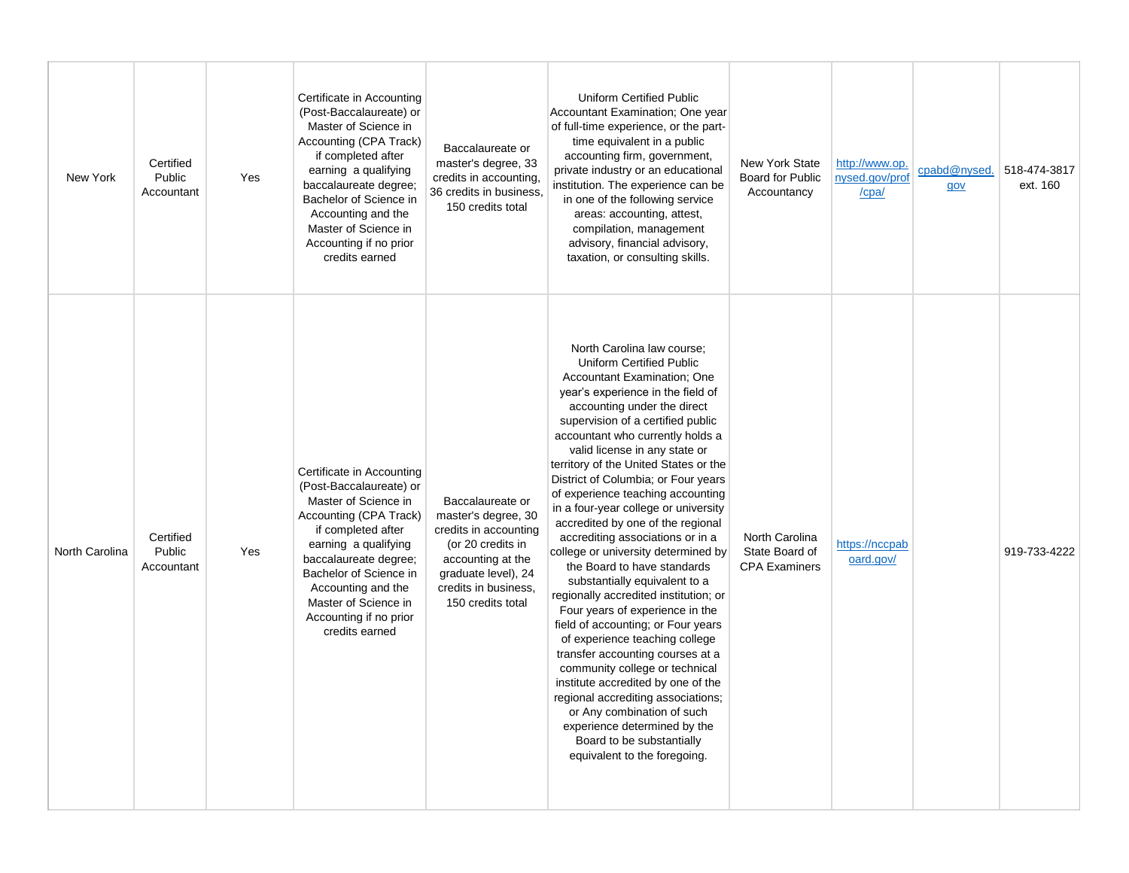| New York       | Certified<br>Public<br>Accountant | Yes | Certificate in Accounting<br>(Post-Baccalaureate) or<br>Master of Science in<br>Accounting (CPA Track)<br>if completed after<br>earning a qualifying<br>baccalaureate degree;<br>Bachelor of Science in<br>Accounting and the<br>Master of Science in<br>Accounting if no prior<br>credits earned | Baccalaureate or<br>master's degree, 33<br>credits in accounting.<br>36 credits in business,<br>150 credits total                                                              | Uniform Certified Public<br>Accountant Examination; One year<br>of full-time experience, or the part-<br>time equivalent in a public<br>accounting firm, government,<br>private industry or an educational<br>institution. The experience can be<br>in one of the following service<br>areas: accounting, attest,<br>compilation, management<br>advisory, financial advisory,<br>taxation, or consulting skills.                                                                                                                                                                                                                                                                                                                                                                                                                                                                                                                                                                                                                                  | <b>New York State</b><br><b>Board for Public</b><br>Accountancy | http://www.op.<br>nysed.gov/prof<br>/cpa/ | cpabd@nysed.<br>qov | 518-474-3817<br>ext. 160 |
|----------------|-----------------------------------|-----|---------------------------------------------------------------------------------------------------------------------------------------------------------------------------------------------------------------------------------------------------------------------------------------------------|--------------------------------------------------------------------------------------------------------------------------------------------------------------------------------|---------------------------------------------------------------------------------------------------------------------------------------------------------------------------------------------------------------------------------------------------------------------------------------------------------------------------------------------------------------------------------------------------------------------------------------------------------------------------------------------------------------------------------------------------------------------------------------------------------------------------------------------------------------------------------------------------------------------------------------------------------------------------------------------------------------------------------------------------------------------------------------------------------------------------------------------------------------------------------------------------------------------------------------------------|-----------------------------------------------------------------|-------------------------------------------|---------------------|--------------------------|
| North Carolina | Certified<br>Public<br>Accountant | Yes | Certificate in Accounting<br>(Post-Baccalaureate) or<br>Master of Science in<br>Accounting (CPA Track)<br>if completed after<br>earning a qualifying<br>baccalaureate degree;<br>Bachelor of Science in<br>Accounting and the<br>Master of Science in<br>Accounting if no prior<br>credits earned | Baccalaureate or<br>master's degree, 30<br>credits in accounting<br>(or 20 credits in<br>accounting at the<br>graduate level), 24<br>credits in business.<br>150 credits total | North Carolina law course;<br>Uniform Certified Public<br>Accountant Examination; One<br>year's experience in the field of<br>accounting under the direct<br>supervision of a certified public<br>accountant who currently holds a<br>valid license in any state or<br>territory of the United States or the<br>District of Columbia; or Four years<br>of experience teaching accounting<br>in a four-year college or university<br>accredited by one of the regional<br>accrediting associations or in a<br>college or university determined by<br>the Board to have standards<br>substantially equivalent to a<br>regionally accredited institution; or<br>Four years of experience in the<br>field of accounting; or Four years<br>of experience teaching college<br>transfer accounting courses at a<br>community college or technical<br>institute accredited by one of the<br>regional accrediting associations;<br>or Any combination of such<br>experience determined by the<br>Board to be substantially<br>equivalent to the foregoing. | North Carolina<br>State Board of<br><b>CPA Examiners</b>        | https://nccpab<br>oard.gov/               |                     | 919-733-4222             |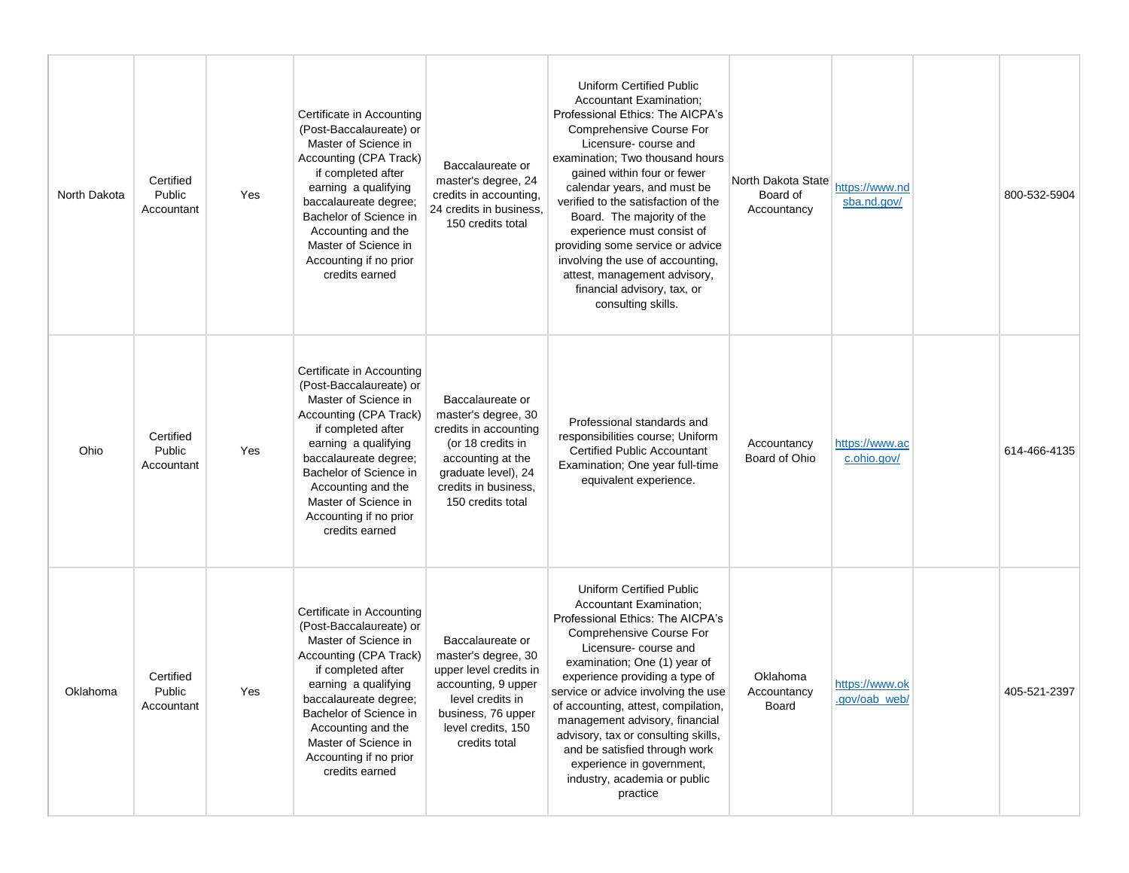| North Dakota | Certified<br>Public<br>Accountant | Yes | Certificate in Accounting<br>(Post-Baccalaureate) or<br>Master of Science in<br>Accounting (CPA Track)<br>if completed after<br>earning a qualifying<br>baccalaureate degree;<br>Bachelor of Science in<br>Accounting and the<br>Master of Science in<br>Accounting if no prior<br>credits earned | Baccalaureate or<br>master's degree, 24<br>credits in accounting,<br>24 credits in business,<br>150 credits total                                                              | Uniform Certified Public<br><b>Accountant Examination:</b><br>Professional Ethics: The AICPA's<br>Comprehensive Course For<br>Licensure-course and<br>examination; Two thousand hours<br>gained within four or fewer<br>calendar years, and must be<br>verified to the satisfaction of the<br>Board. The majority of the<br>experience must consist of<br>providing some service or advice<br>involving the use of accounting,<br>attest, management advisory,<br>financial advisory, tax, or<br>consulting skills. | North Dakota State<br>Board of<br>Accountancy | https://www.nd<br>sba.nd.gov/   | 800-532-5904 |
|--------------|-----------------------------------|-----|---------------------------------------------------------------------------------------------------------------------------------------------------------------------------------------------------------------------------------------------------------------------------------------------------|--------------------------------------------------------------------------------------------------------------------------------------------------------------------------------|---------------------------------------------------------------------------------------------------------------------------------------------------------------------------------------------------------------------------------------------------------------------------------------------------------------------------------------------------------------------------------------------------------------------------------------------------------------------------------------------------------------------|-----------------------------------------------|---------------------------------|--------------|
| Ohio         | Certified<br>Public<br>Accountant | Yes | Certificate in Accounting<br>(Post-Baccalaureate) or<br>Master of Science in<br>Accounting (CPA Track)<br>if completed after<br>earning a qualifying<br>baccalaureate degree;<br>Bachelor of Science in<br>Accounting and the<br>Master of Science in<br>Accounting if no prior<br>credits earned | Baccalaureate or<br>master's degree, 30<br>credits in accounting<br>(or 18 credits in<br>accounting at the<br>graduate level), 24<br>credits in business,<br>150 credits total | Professional standards and<br>responsibilities course; Uniform<br><b>Certified Public Accountant</b><br>Examination; One year full-time<br>equivalent experience.                                                                                                                                                                                                                                                                                                                                                   | Accountancy<br>Board of Ohio                  | https://www.ac<br>c.ohio.gov/   | 614-466-4135 |
| Oklahoma     | Certified<br>Public<br>Accountant | Yes | Certificate in Accounting<br>(Post-Baccalaureate) or<br>Master of Science in<br>Accounting (CPA Track)<br>if completed after<br>earning a qualifying<br>baccalaureate degree;<br>Bachelor of Science in<br>Accounting and the<br>Master of Science in<br>Accounting if no prior<br>credits earned | Baccalaureate or<br>master's degree, 30<br>upper level credits in<br>accounting, 9 upper<br>level credits in<br>business, 76 upper<br>level credits, 150<br>credits total      | <b>Uniform Certified Public</b><br><b>Accountant Examination:</b><br>Professional Ethics: The AICPA's<br>Comprehensive Course For<br>Licensure-course and<br>examination; One (1) year of<br>experience providing a type of<br>service or advice involving the use<br>of accounting, attest, compilation,<br>management advisory, financial<br>advisory, tax or consulting skills,<br>and be satisfied through work<br>experience in government,<br>industry, academia or public<br>practice                        | Oklahoma<br>Accountancy<br>Board              | https://www.ok<br>.gov/oab_web/ | 405-521-2397 |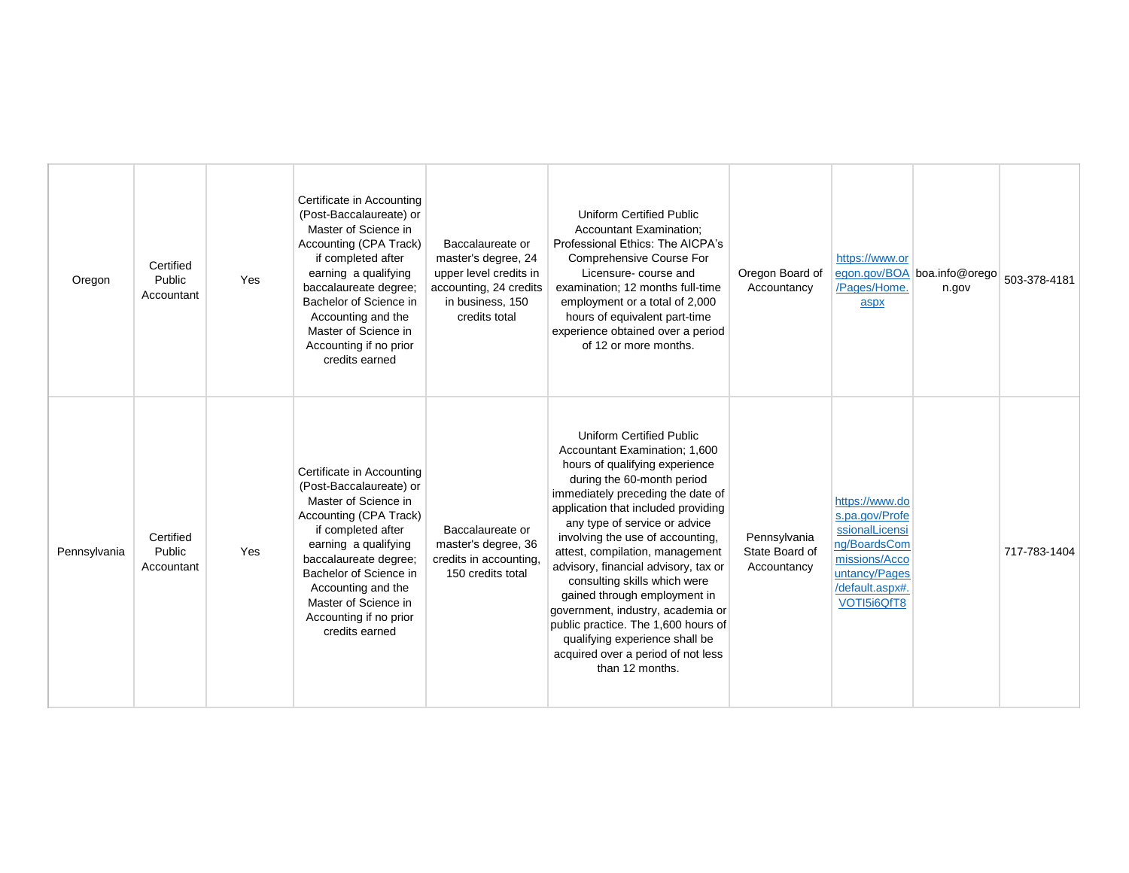| Oregon       | Certified<br>Public<br>Accountant | Yes | Certificate in Accounting<br>(Post-Baccalaureate) or<br>Master of Science in<br>Accounting (CPA Track)<br>if completed after<br>earning a qualifying<br>baccalaureate degree;<br>Bachelor of Science in<br>Accounting and the<br>Master of Science in<br>Accounting if no prior<br>credits earned | Baccalaureate or<br>master's degree, 24<br>upper level credits in<br>accounting, 24 credits<br>in business, 150<br>credits total | <b>Uniform Certified Public</b><br><b>Accountant Examination;</b><br>Professional Ethics: The AICPA's<br><b>Comprehensive Course For</b><br>Licensure-course and<br>examination; 12 months full-time<br>employment or a total of 2,000<br>hours of equivalent part-time<br>experience obtained over a period<br>of 12 or more months.                                                                                                                                                                                                                                                               | Oregon Board of<br>Accountancy                | https://www.or<br>/Pages/Home.<br>aspx                                                                                                 | egon.gov/BOA boa.info@orego<br>n.gov | 503-378-4181 |
|--------------|-----------------------------------|-----|---------------------------------------------------------------------------------------------------------------------------------------------------------------------------------------------------------------------------------------------------------------------------------------------------|----------------------------------------------------------------------------------------------------------------------------------|-----------------------------------------------------------------------------------------------------------------------------------------------------------------------------------------------------------------------------------------------------------------------------------------------------------------------------------------------------------------------------------------------------------------------------------------------------------------------------------------------------------------------------------------------------------------------------------------------------|-----------------------------------------------|----------------------------------------------------------------------------------------------------------------------------------------|--------------------------------------|--------------|
| Pennsylvania | Certified<br>Public<br>Accountant | Yes | Certificate in Accounting<br>(Post-Baccalaureate) or<br>Master of Science in<br>Accounting (CPA Track)<br>if completed after<br>earning a qualifying<br>baccalaureate degree;<br>Bachelor of Science in<br>Accounting and the<br>Master of Science in<br>Accounting if no prior<br>credits earned | Baccalaureate or<br>master's degree, 36<br>credits in accounting,<br>150 credits total                                           | <b>Uniform Certified Public</b><br>Accountant Examination; 1,600<br>hours of qualifying experience<br>during the 60-month period<br>immediately preceding the date of<br>application that included providing<br>any type of service or advice<br>involving the use of accounting,<br>attest, compilation, management<br>advisory, financial advisory, tax or<br>consulting skills which were<br>gained through employment in<br>government, industry, academia or<br>public practice. The 1,600 hours of<br>qualifying experience shall be<br>acquired over a period of not less<br>than 12 months. | Pennsylvania<br>State Board of<br>Accountancy | https://www.do<br>s.pa.gov/Profe<br>ssionalLicensi<br>ng/BoardsCom<br>missions/Acco<br>untancy/Pages<br>/default.aspx#.<br>VOTI5i6QfT8 |                                      | 717-783-1404 |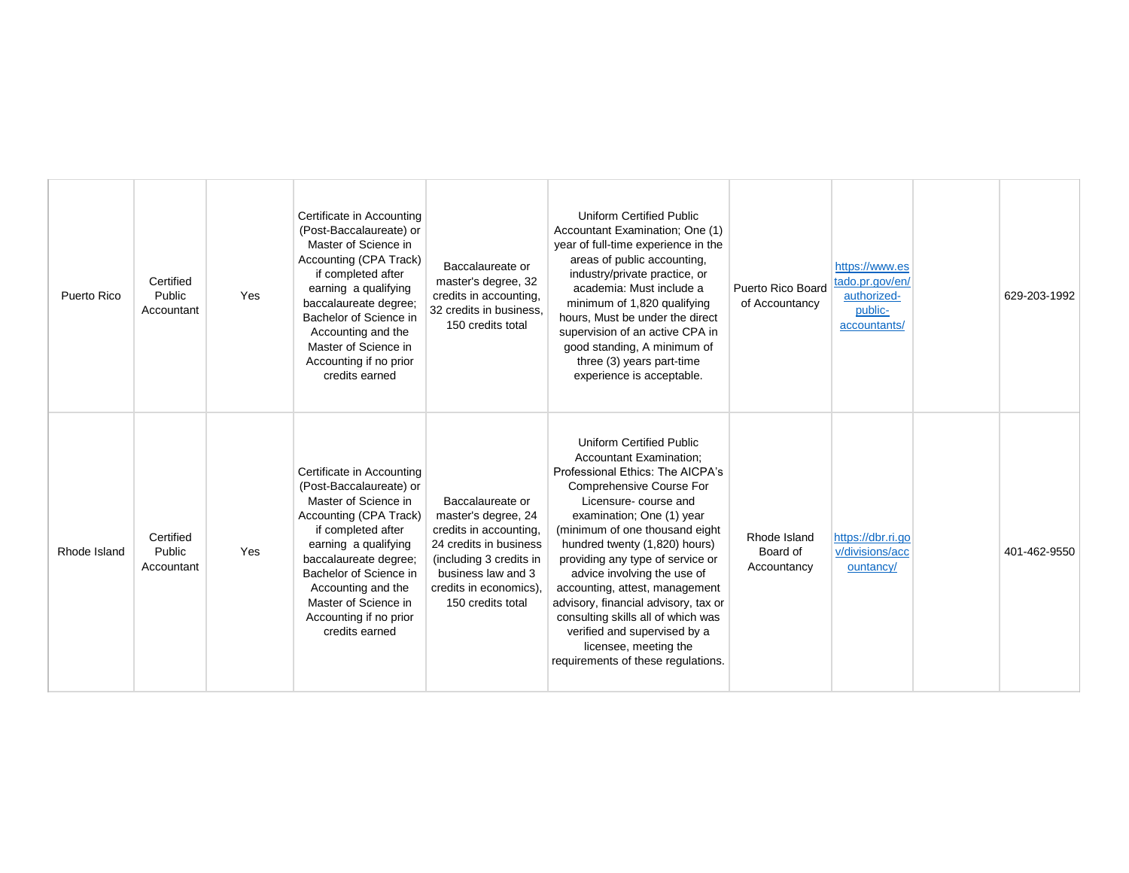| Puerto Rico  | Certified<br>Public<br>Accountant | Yes | Certificate in Accounting<br>(Post-Baccalaureate) or<br>Master of Science in<br>Accounting (CPA Track)<br>if completed after<br>earning a qualifying<br>baccalaureate degree;<br>Bachelor of Science in<br>Accounting and the<br>Master of Science in<br>Accounting if no prior<br>credits earned | Baccalaureate or<br>master's degree, 32<br>credits in accounting,<br>32 credits in business,<br>150 credits total                                                                           | <b>Uniform Certified Public</b><br>Accountant Examination; One (1)<br>year of full-time experience in the<br>areas of public accounting,<br>industry/private practice, or<br>academia: Must include a<br>minimum of 1,820 qualifying<br>hours, Must be under the direct<br>supervision of an active CPA in<br>good standing, A minimum of<br>three (3) years part-time<br>experience is acceptable.                                                                                                                                         | Puerto Rico Board<br>of Accountancy     | https://www.es<br>tado.pr.gov/en/<br>authorized-<br>public-<br>accountants/ | 629-203-1992 |
|--------------|-----------------------------------|-----|---------------------------------------------------------------------------------------------------------------------------------------------------------------------------------------------------------------------------------------------------------------------------------------------------|---------------------------------------------------------------------------------------------------------------------------------------------------------------------------------------------|---------------------------------------------------------------------------------------------------------------------------------------------------------------------------------------------------------------------------------------------------------------------------------------------------------------------------------------------------------------------------------------------------------------------------------------------------------------------------------------------------------------------------------------------|-----------------------------------------|-----------------------------------------------------------------------------|--------------|
| Rhode Island | Certified<br>Public<br>Accountant | Yes | Certificate in Accounting<br>(Post-Baccalaureate) or<br>Master of Science in<br>Accounting (CPA Track)<br>if completed after<br>earning a qualifying<br>baccalaureate degree;<br>Bachelor of Science in<br>Accounting and the<br>Master of Science in<br>Accounting if no prior<br>credits earned | Baccalaureate or<br>master's degree, 24<br>credits in accounting,<br>24 credits in business<br>(including 3 credits in<br>business law and 3<br>credits in economics),<br>150 credits total | <b>Uniform Certified Public</b><br><b>Accountant Examination:</b><br>Professional Ethics: The AICPA's<br>Comprehensive Course For<br>Licensure-course and<br>examination; One (1) year<br>(minimum of one thousand eight<br>hundred twenty (1,820) hours)<br>providing any type of service or<br>advice involving the use of<br>accounting, attest, management<br>advisory, financial advisory, tax or<br>consulting skills all of which was<br>verified and supervised by a<br>licensee, meeting the<br>requirements of these regulations. | Rhode Island<br>Board of<br>Accountancy | https://dbr.ri.go<br>v/divisions/acc<br>ountancy/                           | 401-462-9550 |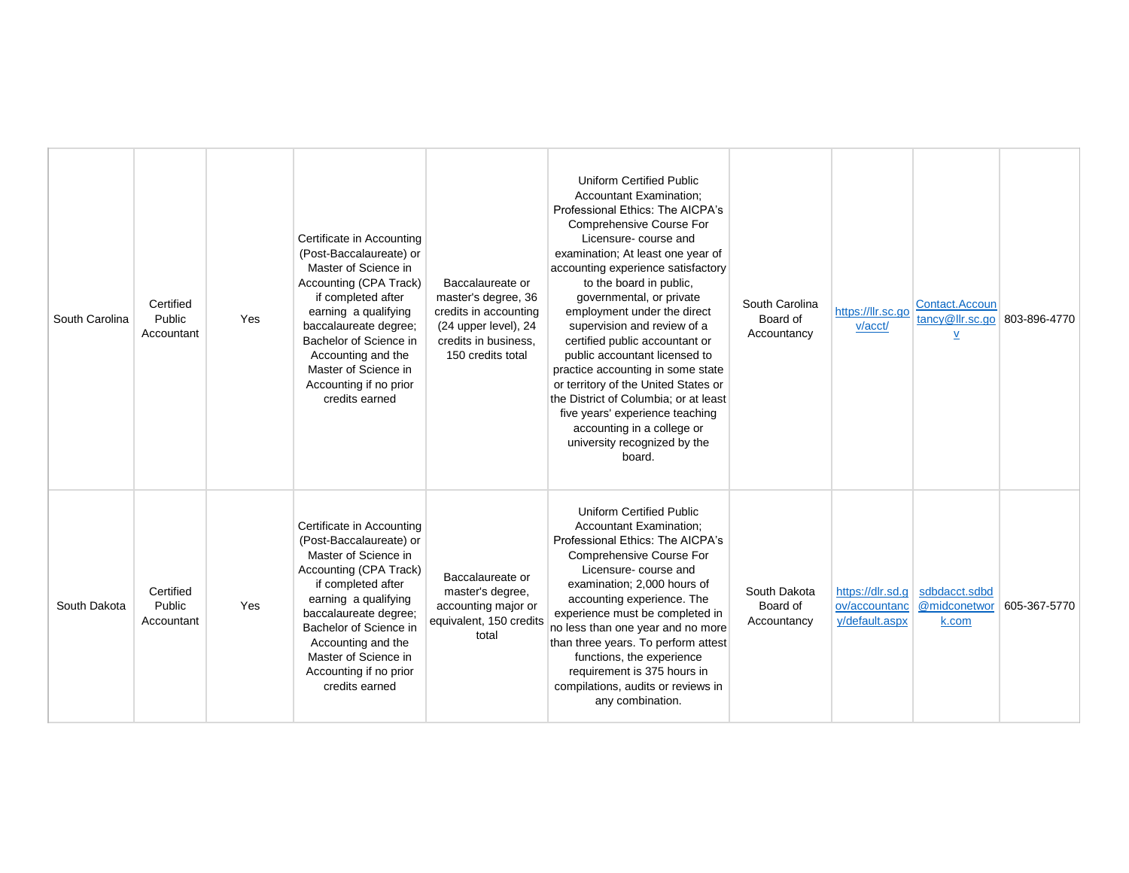| South Carolina | Certified<br>Public<br>Accountant        | Yes | Certificate in Accounting<br>(Post-Baccalaureate) or<br>Master of Science in<br>Accounting (CPA Track)<br>if completed after<br>earning a qualifying<br>baccalaureate degree;<br>Bachelor of Science in<br>Accounting and the<br>Master of Science in<br>Accounting if no prior<br>credits earned | Baccalaureate or<br>master's degree, 36<br>credits in accounting<br>(24 upper level), 24<br>credits in business.<br>150 credits total | Uniform Certified Public<br><b>Accountant Examination:</b><br>Professional Ethics: The AICPA's<br>Comprehensive Course For<br>Licensure- course and<br>examination; At least one year of<br>accounting experience satisfactory<br>to the board in public,<br>governmental, or private<br>employment under the direct<br>supervision and review of a<br>certified public accountant or<br>public accountant licensed to<br>practice accounting in some state<br>or territory of the United States or<br>the District of Columbia; or at least<br>five years' experience teaching<br>accounting in a college or<br>university recognized by the<br>board. | South Carolina<br>Board of<br>Accountancy | https://llr.sc.go<br>v/acct/    | Contact.Accoun<br>tancy@llr.sc.go<br>V                  | 803-896-4770 |
|----------------|------------------------------------------|-----|---------------------------------------------------------------------------------------------------------------------------------------------------------------------------------------------------------------------------------------------------------------------------------------------------|---------------------------------------------------------------------------------------------------------------------------------------|---------------------------------------------------------------------------------------------------------------------------------------------------------------------------------------------------------------------------------------------------------------------------------------------------------------------------------------------------------------------------------------------------------------------------------------------------------------------------------------------------------------------------------------------------------------------------------------------------------------------------------------------------------|-------------------------------------------|---------------------------------|---------------------------------------------------------|--------------|
| South Dakota   | Certified<br><b>Public</b><br>Accountant | Yes | Certificate in Accounting<br>(Post-Baccalaureate) or<br>Master of Science in<br>Accounting (CPA Track)<br>if completed after<br>earning a qualifying<br>baccalaureate degree;<br>Bachelor of Science in<br>Accounting and the<br>Master of Science in<br>Accounting if no prior<br>credits earned | Baccalaureate or<br>master's degree,<br>accounting major or<br>equivalent, 150 credits<br>total                                       | Uniform Certified Public<br><b>Accountant Examination:</b><br>Professional Ethics: The AICPA's<br>Comprehensive Course For<br>Licensure-course and<br>examination; 2,000 hours of<br>accounting experience. The<br>experience must be completed in<br>no less than one year and no more<br>than three years. To perform attest<br>functions, the experience<br>requirement is 375 hours in<br>compilations, audits or reviews in<br>any combination.                                                                                                                                                                                                    | South Dakota<br>Board of<br>Accountancy   | ov/accountanc<br>y/default.aspx | https://dlr.sd.g sdbdacct.sdbd<br>@midconetwor<br>k.com | 605-367-5770 |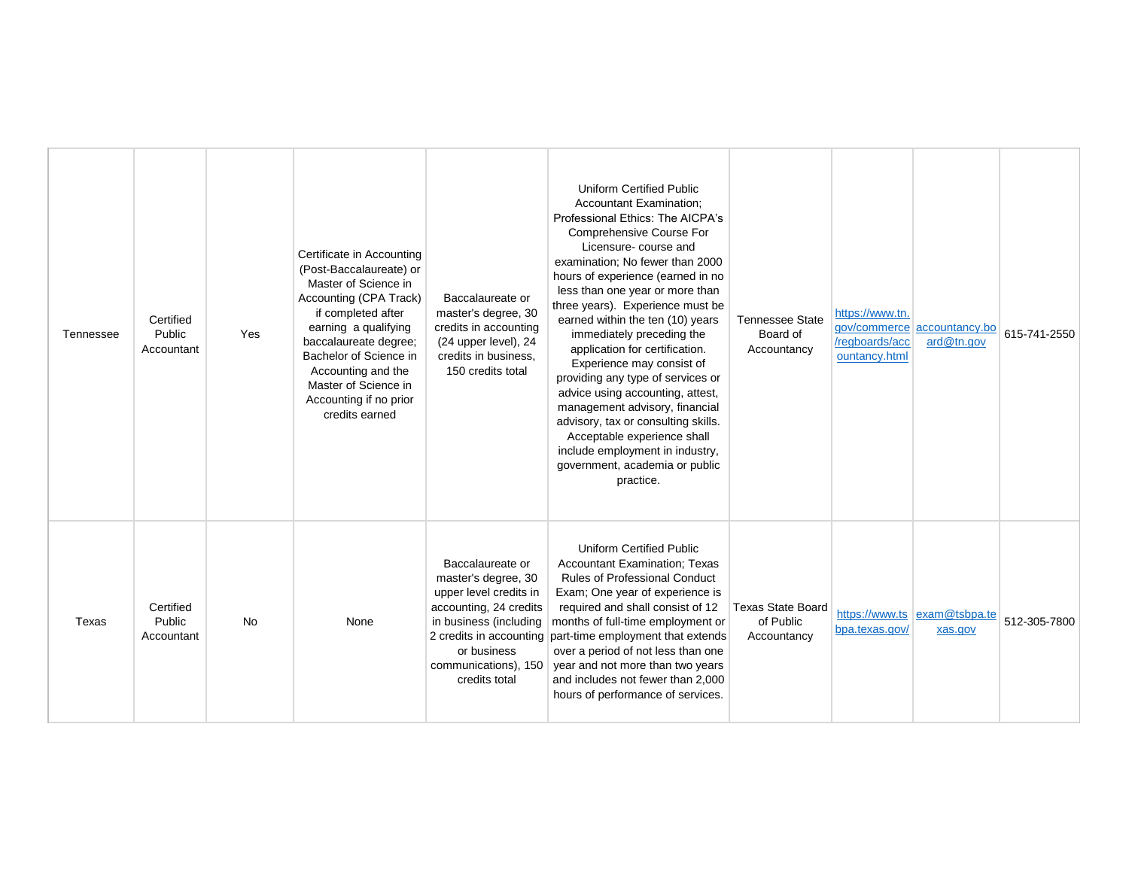| Tennessee | Certified<br>Public<br>Accountant | Yes       | Certificate in Accounting<br>(Post-Baccalaureate) or<br>Master of Science in<br>Accounting (CPA Track)<br>if completed after<br>earning a qualifying<br>baccalaureate degree;<br>Bachelor of Science in<br>Accounting and the<br>Master of Science in<br>Accounting if no prior | Baccalaureate or<br>master's degree, 30<br>credits in accounting<br>(24 upper level), 24<br>credits in business.<br>150 credits total                                         | <b>Uniform Certified Public</b><br><b>Accountant Examination:</b><br>Professional Ethics: The AICPA's<br>Comprehensive Course For<br>Licensure-course and<br>examination; No fewer than 2000<br>hours of experience (earned in no<br>less than one year or more than<br>three years). Experience must be<br>earned within the ten (10) years<br>immediately preceding the<br>application for certification.<br>Experience may consist of<br>providing any type of services or<br>advice using accounting, attest,<br>management advisory, financial | <b>Tennessee State</b><br>Board of<br>Accountancy    | https://www.tn.<br>/regboards/acc<br>ountancy.html | ard@tn.gov                              | 615-741-2550 |
|-----------|-----------------------------------|-----------|---------------------------------------------------------------------------------------------------------------------------------------------------------------------------------------------------------------------------------------------------------------------------------|-------------------------------------------------------------------------------------------------------------------------------------------------------------------------------|-----------------------------------------------------------------------------------------------------------------------------------------------------------------------------------------------------------------------------------------------------------------------------------------------------------------------------------------------------------------------------------------------------------------------------------------------------------------------------------------------------------------------------------------------------|------------------------------------------------------|----------------------------------------------------|-----------------------------------------|--------------|
|           |                                   |           | credits earned                                                                                                                                                                                                                                                                  |                                                                                                                                                                               | advisory, tax or consulting skills.<br>Acceptable experience shall<br>include employment in industry,<br>government, academia or public<br>practice.                                                                                                                                                                                                                                                                                                                                                                                                |                                                      |                                                    | gov/commerce accountancy.bo             |              |
| Texas     | Certified<br>Public<br>Accountant | <b>No</b> | None                                                                                                                                                                                                                                                                            | Baccalaureate or<br>master's degree, 30<br>upper level credits in<br>accounting, 24 credits<br>in business (including<br>or business<br>communications), 150<br>credits total | <b>Uniform Certified Public</b><br>Accountant Examination; Texas<br><b>Rules of Professional Conduct</b><br>Exam; One year of experience is<br>required and shall consist of 12<br>months of full-time employment or<br>2 credits in accounting part-time employment that extends<br>over a period of not less than one<br>year and not more than two years<br>and includes not fewer than 2,000<br>hours of performance of services.                                                                                                               | <b>Texas State Board</b><br>of Public<br>Accountancy | bpa.texas.gov/                                     | https://www.ts exam@tsbpa.te<br>xas.gov | 512-305-7800 |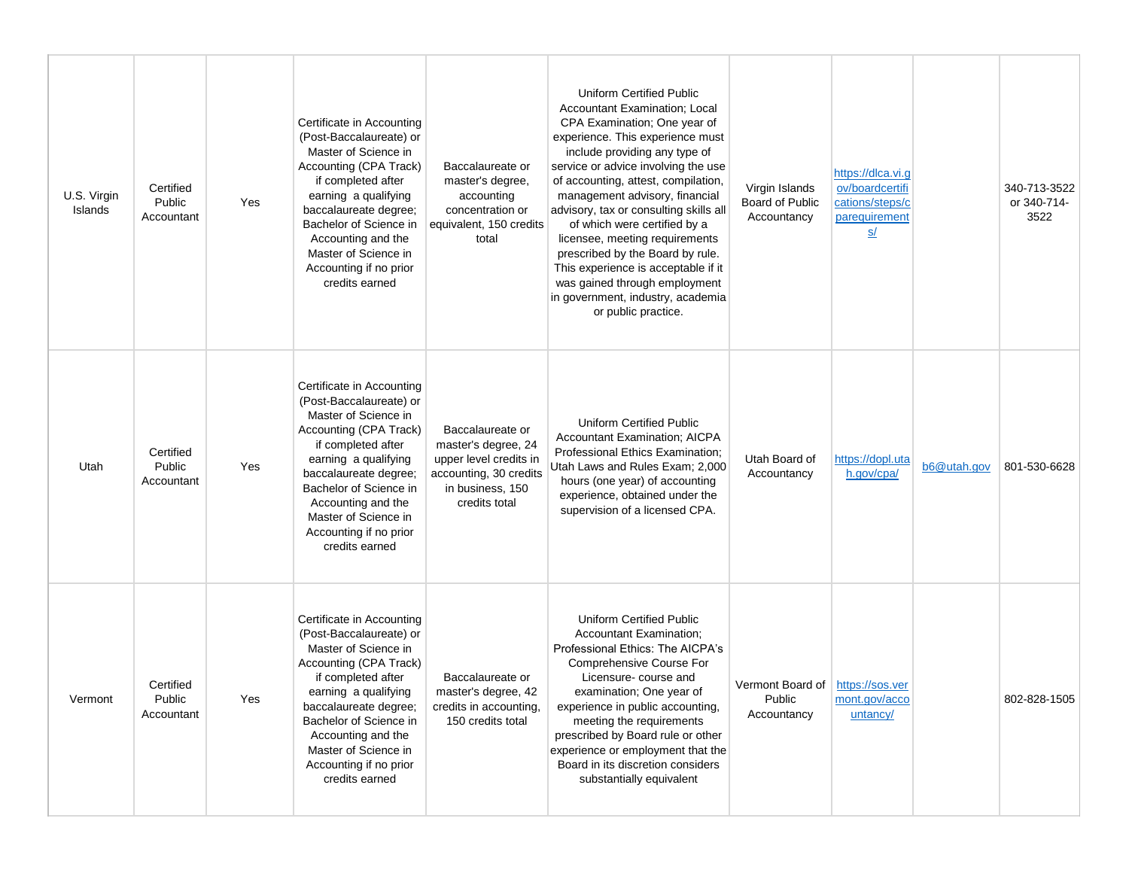| U.S. Virgin<br>Islands | Certified<br>Public<br>Accountant | Yes | Certificate in Accounting<br>(Post-Baccalaureate) or<br>Master of Science in<br>Accounting (CPA Track)<br>if completed after<br>earning a qualifying<br>baccalaureate degree;<br>Bachelor of Science in<br>Accounting and the<br>Master of Science in<br>Accounting if no prior<br>credits earned | Baccalaureate or<br>master's degree,<br>accounting<br>concentration or<br>equivalent, 150 credits<br>total                       | Uniform Certified Public<br>Accountant Examination; Local<br>CPA Examination; One year of<br>experience. This experience must<br>include providing any type of<br>service or advice involving the use<br>of accounting, attest, compilation,<br>management advisory, financial<br>advisory, tax or consulting skills all<br>of which were certified by a<br>licensee, meeting requirements<br>prescribed by the Board by rule.<br>This experience is acceptable if it<br>was gained through employment<br>in government, industry, academia<br>or public practice. | Virgin Islands<br>Board of Public<br>Accountancy            | https://dlca.vi.g<br>ov/boardcertifi<br>cations/steps/c<br>parequirement<br>S/ |             | 340-713-3522<br>or 340-714-<br>3522 |
|------------------------|-----------------------------------|-----|---------------------------------------------------------------------------------------------------------------------------------------------------------------------------------------------------------------------------------------------------------------------------------------------------|----------------------------------------------------------------------------------------------------------------------------------|--------------------------------------------------------------------------------------------------------------------------------------------------------------------------------------------------------------------------------------------------------------------------------------------------------------------------------------------------------------------------------------------------------------------------------------------------------------------------------------------------------------------------------------------------------------------|-------------------------------------------------------------|--------------------------------------------------------------------------------|-------------|-------------------------------------|
| Utah                   | Certified<br>Public<br>Accountant | Yes | Certificate in Accounting<br>(Post-Baccalaureate) or<br>Master of Science in<br>Accounting (CPA Track)<br>if completed after<br>earning a qualifying<br>baccalaureate degree;<br>Bachelor of Science in<br>Accounting and the<br>Master of Science in<br>Accounting if no prior<br>credits earned | Baccalaureate or<br>master's degree, 24<br>upper level credits in<br>accounting, 30 credits<br>in business, 150<br>credits total | <b>Uniform Certified Public</b><br><b>Accountant Examination: AICPA</b><br>Professional Ethics Examination;<br>Utah Laws and Rules Exam; 2,000<br>hours (one year) of accounting<br>experience, obtained under the<br>supervision of a licensed CPA.                                                                                                                                                                                                                                                                                                               | Utah Board of<br>Accountancy                                | https://dopl.uta<br>h.gov/cpa/                                                 | b6@utah.gov | 801-530-6628                        |
| Vermont                | Certified<br>Public<br>Accountant | Yes | Certificate in Accounting<br>(Post-Baccalaureate) or<br>Master of Science in<br>Accounting (CPA Track)<br>if completed after<br>earning a qualifying<br>baccalaureate degree;<br>Bachelor of Science in<br>Accounting and the<br>Master of Science in<br>Accounting if no prior<br>credits earned | Baccalaureate or<br>master's degree, 42<br>credits in accounting,<br>150 credits total                                           | Uniform Certified Public<br><b>Accountant Examination;</b><br>Professional Ethics: The AICPA's<br>Comprehensive Course For<br>Licensure-course and<br>examination; One year of<br>experience in public accounting,<br>meeting the requirements<br>prescribed by Board rule or other<br>experience or employment that the<br>Board in its discretion considers<br>substantially equivalent                                                                                                                                                                          | Vermont Board of   https://sos.ver<br>Public<br>Accountancy | mont.gov/acco<br>untancy/                                                      |             | 802-828-1505                        |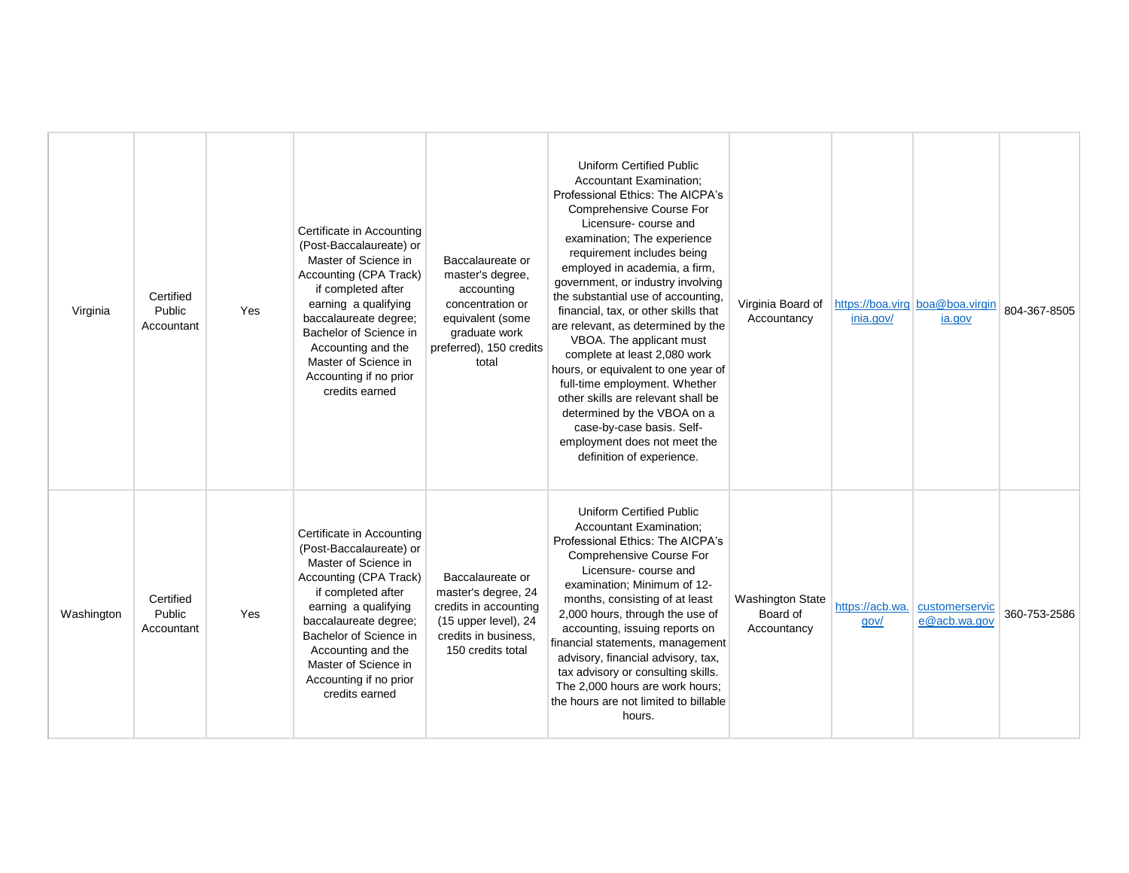| Virginia   | Certified<br>Public<br>Accountant | Yes | Certificate in Accounting<br>(Post-Baccalaureate) or<br>Master of Science in<br>Accounting (CPA Track)<br>if completed after<br>earning a qualifying<br>baccalaureate degree;<br>Bachelor of Science in<br>Accounting and the<br>Master of Science in<br>Accounting if no prior<br>credits earned | Baccalaureate or<br>master's degree,<br>accounting<br>concentration or<br>equivalent (some<br>graduate work<br>preferred), 150 credits<br>total | <b>Uniform Certified Public</b><br><b>Accountant Examination:</b><br>Professional Ethics: The AICPA's<br>Comprehensive Course For<br>Licensure-course and<br>examination; The experience<br>requirement includes being<br>employed in academia, a firm,<br>government, or industry involving<br>the substantial use of accounting,<br>financial, tax, or other skills that<br>are relevant, as determined by the<br>VBOA. The applicant must<br>complete at least 2,080 work<br>hours, or equivalent to one year of<br>full-time employment. Whether<br>other skills are relevant shall be<br>determined by the VBOA on a<br>case-by-case basis. Self-<br>employment does not meet the<br>definition of experience. | Virginia Board of<br>Accountancy                   | inia.gov/ | https://boa.virg boa@boa.virgin<br>ia.gov      | 804-367-8505 |
|------------|-----------------------------------|-----|---------------------------------------------------------------------------------------------------------------------------------------------------------------------------------------------------------------------------------------------------------------------------------------------------|-------------------------------------------------------------------------------------------------------------------------------------------------|---------------------------------------------------------------------------------------------------------------------------------------------------------------------------------------------------------------------------------------------------------------------------------------------------------------------------------------------------------------------------------------------------------------------------------------------------------------------------------------------------------------------------------------------------------------------------------------------------------------------------------------------------------------------------------------------------------------------|----------------------------------------------------|-----------|------------------------------------------------|--------------|
| Washington | Certified<br>Public<br>Accountant | Yes | Certificate in Accounting<br>(Post-Baccalaureate) or<br>Master of Science in<br>Accounting (CPA Track)<br>if completed after<br>earning a qualifying<br>baccalaureate degree;<br>Bachelor of Science in<br>Accounting and the<br>Master of Science in<br>Accounting if no prior<br>credits earned | Baccalaureate or<br>master's degree, 24<br>credits in accounting<br>(15 upper level), 24<br>credits in business.<br>150 credits total           | <b>Uniform Certified Public</b><br>Accountant Examination;<br>Professional Ethics: The AICPA's<br>Comprehensive Course For<br>Licensure-course and<br>examination; Minimum of 12-<br>months, consisting of at least<br>2,000 hours, through the use of<br>accounting, issuing reports on<br>financial statements, management<br>advisory, financial advisory, tax,<br>tax advisory or consulting skills.<br>The 2,000 hours are work hours;<br>the hours are not limited to billable<br>hours.                                                                                                                                                                                                                      | <b>Washington State</b><br>Board of<br>Accountancy | gov/      | https://acb.wa. customerservic<br>e@acb.wa.gov | 360-753-2586 |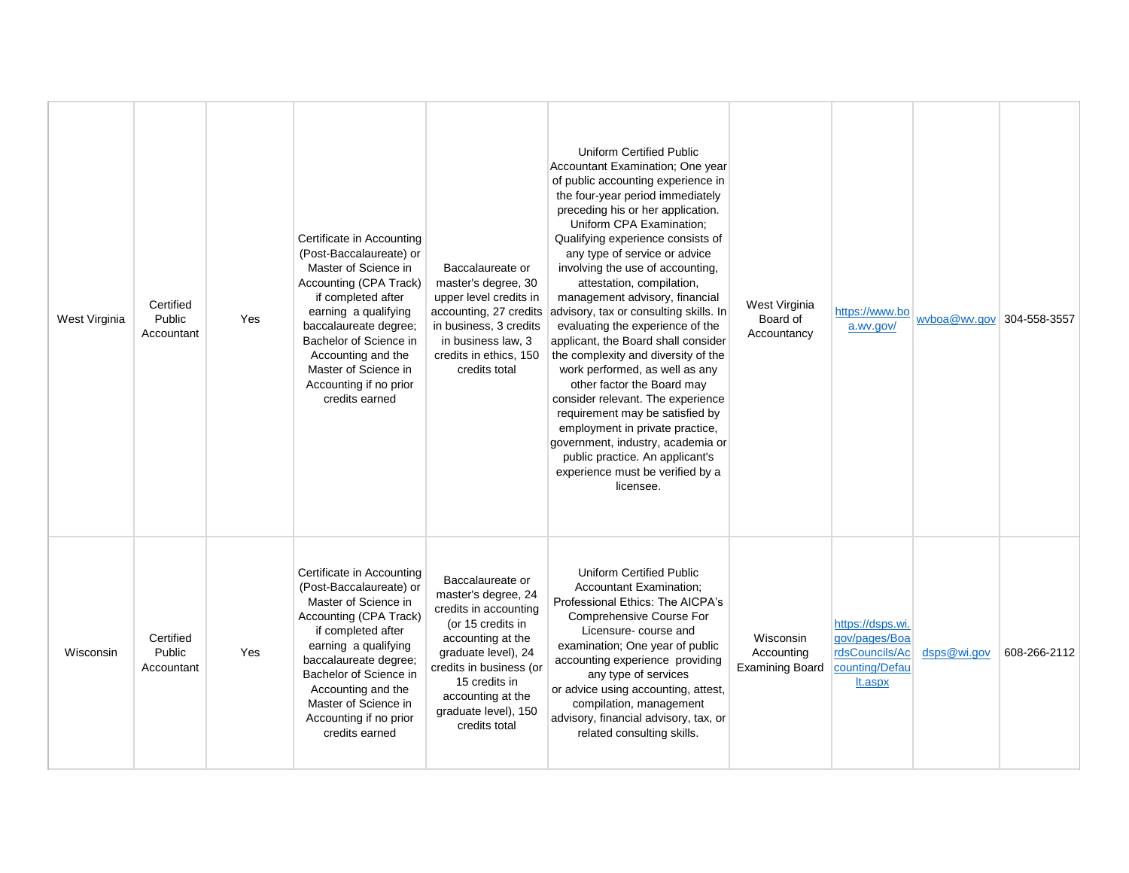| West Virginia | Certified<br>Public<br>Accountant | Yes | Certificate in Accounting<br>(Post-Baccalaureate) or<br>Master of Science in<br>Accounting (CPA Track)<br>if completed after<br>earning a qualifying<br>baccalaureate degree;<br>Bachelor of Science in<br>Accounting and the<br>Master of Science in<br>Accounting if no prior<br>credits earned | Baccalaureate or<br>master's degree, 30<br>upper level credits in<br>accounting, 27 credits<br>in business, 3 credits<br>in business law, 3<br>credits in ethics, 150<br>credits total                                                      | <b>Uniform Certified Public</b><br>Accountant Examination; One year<br>of public accounting experience in<br>the four-year period immediately<br>preceding his or her application.<br>Uniform CPA Examination;<br>Qualifying experience consists of<br>any type of service or advice<br>involving the use of accounting,<br>attestation, compilation,<br>management advisory, financial<br>advisory, tax or consulting skills. In<br>evaluating the experience of the<br>applicant, the Board shall consider<br>the complexity and diversity of the<br>work performed, as well as any<br>other factor the Board may<br>consider relevant. The experience<br>requirement may be satisfied by<br>employment in private practice,<br>government, industry, academia or<br>public practice. An applicant's<br>experience must be verified by a<br>licensee. | West Virginia<br>Board of<br>Accountancy                 | https://www.bo<br>a.wv.gov/                                                      | wyboa@wy.gov 304-558-3557 |              |
|---------------|-----------------------------------|-----|---------------------------------------------------------------------------------------------------------------------------------------------------------------------------------------------------------------------------------------------------------------------------------------------------|---------------------------------------------------------------------------------------------------------------------------------------------------------------------------------------------------------------------------------------------|---------------------------------------------------------------------------------------------------------------------------------------------------------------------------------------------------------------------------------------------------------------------------------------------------------------------------------------------------------------------------------------------------------------------------------------------------------------------------------------------------------------------------------------------------------------------------------------------------------------------------------------------------------------------------------------------------------------------------------------------------------------------------------------------------------------------------------------------------------|----------------------------------------------------------|----------------------------------------------------------------------------------|---------------------------|--------------|
| Wisconsin     | Certified<br>Public<br>Accountant | Yes | Certificate in Accounting<br>(Post-Baccalaureate) or<br>Master of Science in<br>Accounting (CPA Track)<br>if completed after<br>earning a qualifying<br>baccalaureate degree;<br>Bachelor of Science in<br>Accounting and the<br>Master of Science in<br>Accounting if no prior<br>credits earned | Baccalaureate or<br>master's degree, 24<br>credits in accounting<br>(or 15 credits in<br>accounting at the<br>graduate level), 24<br>credits in business (or<br>15 credits in<br>accounting at the<br>graduate level), 150<br>credits total | <b>Uniform Certified Public</b><br><b>Accountant Examination;</b><br>Professional Ethics: The AICPA's<br>Comprehensive Course For<br>Licensure-course and<br>examination; One year of public<br>accounting experience providing<br>any type of services<br>or advice using accounting, attest,<br>compilation, management<br>advisory, financial advisory, tax, or<br>related consulting skills.                                                                                                                                                                                                                                                                                                                                                                                                                                                        | <b>Wisconsin</b><br>Accounting<br><b>Examining Board</b> | https://dsps.wi.<br>gov/pages/Boa<br>rdsCouncils/Ac<br>counting/Defau<br>It.aspx | dsps@wi.gov               | 608-266-2112 |